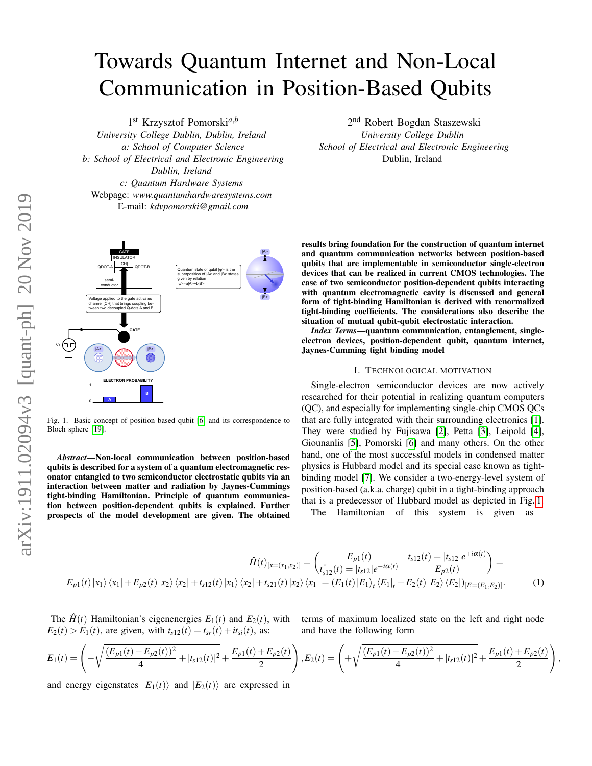# Towards Quantum Internet and Non-Local Communication in Position-Based Qubits

1 st Krzysztof Pomorski*a*,*<sup>b</sup> University College Dublin, Dublin, Ireland a: School of Computer Science b: School of Electrical and Electronic Engineering Dublin, Ireland c: Quantum Hardware Systems* Webpage: *www.quantumhardwaresystems.com* E-mail: *kdvpomorski@gmail.com*



<span id="page-0-0"></span>Fig. 1. Basic concept of position based qubit [\[6\]](#page-19-0) and its correspondence to Bloch sphere [\[19\]](#page-19-1).

*Abstract*—Non-local communication between position-based qubits is described for a system of a quantum electromagnetic resonator entangled to two semiconductor electrostatic qubits via an interaction between matter and radiation by Jaynes-Cummings tight-binding Hamiltonian. Principle of quantum communication between position-dependent qubits is explained. Further prospects of the model development are given. The obtained

2<sup>nd</sup> Robert Bogdan Staszewski *University College Dublin School of Electrical and Electronic Engineering* Dublin, Ireland

results bring foundation for the construction of quantum internet and quantum communication networks between position-based qubits that are implementable in semiconductor single-electron devices that can be realized in current CMOS technologies. The case of two semiconductor position-dependent qubits interacting with quantum electromagnetic cavity is discussed and general form of tight-binding Hamiltonian is derived with renormalized tight-binding coefficients. The considerations also describe the situation of mutual qubit-qubit electrostatic interaction.

*Index Terms*—quantum communication, entanglement, singleelectron devices, position-dependent qubit, quantum internet, Jaynes-Cumming tight binding model

## I. TECHNOLOGICAL MOTIVATION

Single-electron semiconductor devices are now actively researched for their potential in realizing quantum computers (QC), and especially for implementing single-chip CMOS QCs that are fully integrated with their surrounding electronics [\[1\]](#page-19-2). They were studied by Fujisawa [\[2\]](#page-19-3), Petta [\[3\]](#page-19-4), Leipold [\[4\]](#page-19-5), Giounanlis [\[5\]](#page-19-6), Pomorski [\[6\]](#page-19-0) and many others. On the other hand, one of the most successful models in condensed matter physics is Hubbard model and its special case known as tightbinding model [\[7\]](#page-19-7). We consider a two-energy-level system of position-based (a.k.a. charge) qubit in a tight-binding approach that is a predecessor of Hubbard model as depicted in Fig. [1.](#page-0-0) The Hamiltonian of this system is given as

$$
\hat{H}(t)_{[x=(x_1,x_2)]} = \begin{pmatrix} E_{p1}(t) & t_{s12}(t) = |t_{s12}|e^{+i\alpha(t)} \\ t_{s12}^{\dagger}(t) = |t_{s12}|e^{-i\alpha(t)} & E_{p2}(t) \end{pmatrix} = E_{p1}(t)|x_1\rangle\langle x_1| + E_{p2}(t)|x_2\rangle\langle x_2| + t_{s12}(t)|x_1\rangle\langle x_2| + t_{s21}(t)|x_2\rangle\langle x_1| = (E_1(t)|E_1\rangle_t\langle E_1|_t + E_2(t)|E_2\rangle\langle E_2|)_{[E=(E_1,E_2)]}. \tag{1}
$$

The  $\hat{H}(t)$  Hamiltonian's eigenenergies  $E_1(t)$  and  $E_2(t)$ , with  $E_2(t) > E_1(t)$ , are given, with  $t_{s12}(t) = t_{sr}(t) + it_{si}(t)$ , as:

terms of maximum localized state on the left and right node and have the following form

$$
E_1(t) = \left(-\sqrt{\frac{(E_{p1}(t) - E_{p2}(t))^2}{4} + |t_{s12}(t)|^2} + \frac{E_{p1}(t) + E_{p2}(t)}{2}\right), E_2(t) = \left(+\sqrt{\frac{(E_{p1}(t) - E_{p2}(t))^2}{4} + |t_{s12}(t)|^2} + \frac{E_{p1}(t) + E_{p2}(t)}{2}\right),
$$

and energy eigenstates  $|E_1(t)\rangle$  and  $|E_2(t)\rangle$  are expressed in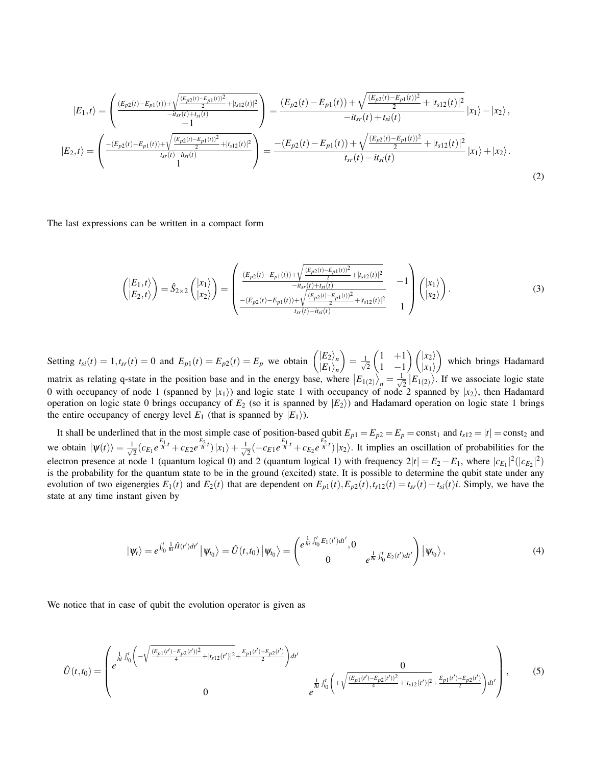$$
|E_{1},t\rangle = \left(\frac{(E_{p2}(t)-E_{p1}(t))+\sqrt{\frac{(E_{p2}(t)-E_{p1}(t))^2}{2}+|t_{s12}(t)|^2}}{-it_{sr}(t)+t_{si}(t)}\right) = \frac{(E_{p2}(t)-E_{p1}(t))+\sqrt{\frac{(E_{p2}(t)-E_{p1}(t))^2}{2}+|t_{s12}(t)|^2}}{-it_{sr}(t)+t_{si}(t)}|x_1\rangle-|x_2\rangle,
$$
  
\n
$$
|E_{2},t\rangle = \left(\frac{-(E_{p2}(t)-E_{p1}(t))+\sqrt{\frac{(E_{p2}(t)-E_{p1}(t))^2}{2}+|t_{s12}(t)|^2}}{t_{sr}(t)-it_{si}(t)}\right) = \frac{-(E_{p2}(t)-E_{p1}(t))+\sqrt{\frac{(E_{p2}(t)-E_{p1}(t))^2}{2}+|t_{s12}(t)|^2}}{t_{sr}(t)-it_{si}(t)}|x_1\rangle+|x_2\rangle.
$$
\n(2)

The last expressions can be written in a compact form

$$
\begin{pmatrix}\n\ket{E_1,t} \\
\ket{E_2,t}\n\end{pmatrix} = \hat{S}_{2\times2} \begin{pmatrix}\n\ket{x_1} \\
\ket{x_2}\n\end{pmatrix} = \begin{pmatrix}\n\frac{(E_{p2}(t) - E_{p1}(t)) + \sqrt{\frac{(E_{p2}(t) - E_{p1}(t))^2}{2} + |t_{s12}(t)|^2}}{-it_{sr}(t) + t_{si}(t)} & -1 \\
\frac{-(E_{p2}(t) - E_{p1}(t)) + \sqrt{\frac{(E_{p2}(t) - E_{p1}(t))^2}{2} + |t_{s12}(t)|^2}}{t_{sr}(t) - it_{si}(t)} & 1\n\end{pmatrix} \begin{pmatrix}\n\ket{x_1} \\
\ket{x_2}\n\end{pmatrix}.
$$
\n(3)

Setting  $t_{si}(t) = 1, t_{sr}(t) = 0$  and  $E_{p1}(t) = E_{p2}(t) = E_p$  we obtain  $\binom{|E_2|}{|E_1|}$  $|E_1\rangle_n$  $= \frac{1}{\sqrt{2}}$ 2  $(1 +1)$ 1 −1  $\binom{x_2}{ }$  $|x_1\rangle$  which brings Hadamard matrix as relating q-state in the position base and in the energy base, where  $|E_{1(2)}\rangle_n = \frac{1}{\sqrt{n}}$  $\frac{1}{2}$   $|E_{1(2)}\rangle$ . If we associate logic state 0 with occupancy of node 1 (spanned by  $|x_1\rangle$ ) and logic state 1 with occupancy of node 2 spanned by  $|x_2\rangle$ , then Hadamard operation on logic state 0 brings occupancy of  $E_2$  (so it is spanned by  $|E_2\rangle$ ) and Hadamard operation on logic state 1 brings the entire occupancy of energy level  $E_1$  (that is spanned by  $|E_1\rangle$ ).

It shall be underlined that in the most simple case of position-based qubit  $E_{p1} = E_{p2} = E_p = \text{const}_1$  and  $t_{s12} = |t| = \text{const}_2$  and we obtain  $|\psi(t)\rangle = \frac{1}{\sqrt{2}}$  $\frac{1}{2}(c_{E_1}e^{\frac{E_1}{\hbar}t}+c_{E2}e^{\frac{E_2}{\hbar}t})|x_1\rangle+\frac{1}{\sqrt{2}}$  $\frac{E_1}{2}(-c_{E1}e^{\frac{E_1}{\hbar}t}+c_{E_2}e^{\frac{E_2}{\hbar}t})|x_2\rangle$ . It implies an oscillation of probabilities for the electron presence at node 1 (quantum logical 0) and 2 (quantum logical 1) with frequency  $2|t| = E_2 - E_1$ , where  $|c_{E_1}|^2(|c_{E_2}|^2)$ is the probability for the quantum state to be in the ground (excited) state. It is possible to determine the qubit state under any evolution of two eigenergies  $E_1(t)$  and  $E_2(t)$  that are dependent on  $E_{p1}(t)$ ,  $E_{p2}(t)$ ,  $t_{s12}(t) = t_{sr}(t) + t_{si}(t)i$ . Simply, we have the state at any time instant given by

$$
|\psi_t\rangle = e^{\int_{t_0}^t \frac{1}{\hbar i} \hat{H}(t') dt'} |\psi_{t_0}\rangle = \hat{U}(t,t_0) |\psi_{t_0}\rangle = \begin{pmatrix} e^{\frac{1}{\hbar i} \int_{t_0}^t E_1(t') dt'}, 0 \\ 0 & e^{\frac{1}{\hbar i} \int_{t_0}^t E_2(t') dt'} \end{pmatrix} |\psi_{t_0}\rangle, \tag{4}
$$

We notice that in case of qubit the evolution operator is given as

$$
\hat{U}(t,t_0) = \begin{pmatrix} \frac{1}{h!} \int_{t_0}^t \left( -\sqrt{\frac{(E_{p1}(t') - E_{p2}(t'))^2}{4} + |t_{s12}(t')|^2} + \frac{E_{p1}(t') + E_{p2}(t')}{2} \right) dt'} \\ 0 & \frac{1}{h!} \int_{t_0}^t \left( +\sqrt{\frac{(E_{p1}(t') - E_{p2}(t'))^2}{4} + |t_{s12}(t')|^2} + \frac{E_{p1}(t') + E_{p2}(t')}{2} \right) dt'} \\ 0 & e^{\frac{1}{h!} \int_{t_0}^t \left( +\sqrt{\frac{(E_{p1}(t') - E_{p2}(t'))^2}{4} + |t_{s12}(t')|^2} + \frac{E_{p1}(t') + E_{p2}(t')}{2} \right) dt'} \end{pmatrix},
$$
(5)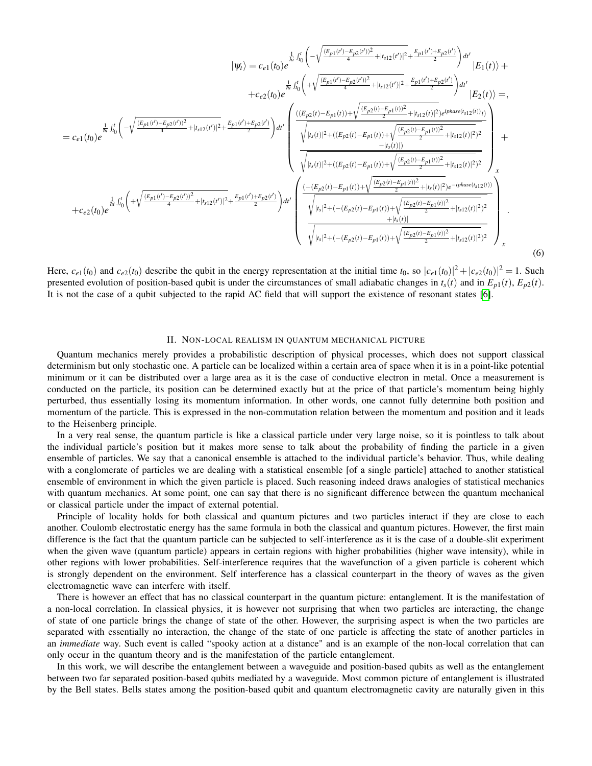$$
|\psi_{t}\rangle = c_{e1}(t_{0})e^{\frac{\frac{1}{h_{0}}\int_{t_{0}}^{t_{0}}\left(-\sqrt{\frac{(E_{p1}(t')-E_{p2}(t'))^{2}}{4}|t_{s12}(t')|^{2}}+\frac{E_{p1}(t')+E_{p2}(t')}{4}|t_{s12}(t')|^{2}}\right)}{E_{1}(t)\rangle}+c_{e2}(t_{0})e^{\frac{\frac{1}{h_{0}}\int_{t_{0}}^{t_{0}}\left(-\sqrt{\frac{(E_{p1}(t')-E_{p2}(t'))^{2}}{4}|t_{s12}(t')|^{2}}+\frac{E_{p1}(t')+E_{p2}(t')}{4}|t_{s12}(t')|^{2}}+\frac{E_{p1}(t')+E_{p2}(t')}{2}\right)}{E_{2}(t)\rangle}=}
$$
\n
$$
=c_{e1}(t_{0})e^{\frac{\frac{1}{h_{0}}\int_{t_{0}}^{t_{0}}\left(-\sqrt{\frac{(E_{p1}(t')-E_{p2}(t'))^{2}}{4}|t_{s12}(t')|^{2}}+\frac{E_{p1}(t')+E_{p2}(t')}{2}\right)}{E_{2}(t)}\right)^{2}}+\frac{\frac{1}{h_{s1}(t_{0})}\left(\sqrt{\frac{(E_{p2}(t)-E_{p1}(t))+\sqrt{\frac{(E_{p2}(t)-E_{p1}(t))^{2}}{2}|t_{s12}(t)|^{2}}+\frac{E_{p1}(t')+E_{p2}(t')}{2}}\right)}{E_{2}(t)\right)^{2}}+E_{2}(t_{0})e^{\frac{\frac{1}{h_{0}}\int_{t_{0}}^{t_{0}}\left(-\sqrt{\frac{(E_{p1}(t')-E_{p2}(t'))^{2}}{4}|t_{s12}(t')|^{2}}+\frac{E_{p1}(t')+E_{p2}(t')}{2}\right)}{E_{2}(t)\right)^{2}}}}{E_{2}(t_{0})e^{\frac{\frac{1}{h_{0}}\int_{t_{0}}^{t_{0}}\left(-\sqrt{\frac{(E_{p1}(t')-E_{p2}(t'))^{2}}{4}|t_{s12}(t')|^{2}}+\frac{E_{p1}(t')+E_{p2}(t')}{2}\right)}{E_{2}(t_{0})}}}
$$
\n
$$
+c_{e2}(t_{0})e^{\frac{\frac{1}{h_{0}}\int_{t_{0}}^{
$$

Here,  $c_{e1}(t_0)$  and  $c_{e2}(t_0)$  describe the qubit in the energy representation at the initial time  $t_0$ , so  $|c_{e1}(t_0)|^2 + |c_{e2}(t_0)|^2 = 1$ . Such presented evolution of position-based qubit is under the circumstances of small adiabatic changes in  $t_s(t)$  and in  $E_{p1}(t)$ ,  $E_{p2}(t)$ . It is not the case of a qubit subjected to the rapid AC field that will support the existence of resonant states [\[6\]](#page-19-0).

## II. NON-LOCAL REALISM IN QUANTUM MECHANICAL PICTURE

Quantum mechanics merely provides a probabilistic description of physical processes, which does not support classical determinism but only stochastic one. A particle can be localized within a certain area of space when it is in a point-like potential minimum or it can be distributed over a large area as it is the case of conductive electron in metal. Once a measurement is conducted on the particle, its position can be determined exactly but at the price of that particle's momentum being highly perturbed, thus essentially losing its momentum information. In other words, one cannot fully determine both position and momentum of the particle. This is expressed in the non-commutation relation between the momentum and position and it leads to the Heisenberg principle.

In a very real sense, the quantum particle is like a classical particle under very large noise, so it is pointless to talk about the individual particle's position but it makes more sense to talk about the probability of finding the particle in a given ensemble of particles. We say that a canonical ensemble is attached to the individual particle's behavior. Thus, while dealing with a conglomerate of particles we are dealing with a statistical ensemble [of a single particle] attached to another statistical ensemble of environment in which the given particle is placed. Such reasoning indeed draws analogies of statistical mechanics with quantum mechanics. At some point, one can say that there is no significant difference between the quantum mechanical or classical particle under the impact of external potential.

Principle of locality holds for both classical and quantum pictures and two particles interact if they are close to each another. Coulomb electrostatic energy has the same formula in both the classical and quantum pictures. However, the first main difference is the fact that the quantum particle can be subjected to self-interference as it is the case of a double-slit experiment when the given wave (quantum particle) appears in certain regions with higher probabilities (higher wave intensity), while in other regions with lower probabilities. Self-interference requires that the wavefunction of a given particle is coherent which is strongly dependent on the environment. Self interference has a classical counterpart in the theory of waves as the given electromagnetic wave can interfere with itself.

There is however an effect that has no classical counterpart in the quantum picture: entanglement. It is the manifestation of a non-local correlation. In classical physics, it is however not surprising that when two particles are interacting, the change of state of one particle brings the change of state of the other. However, the surprising aspect is when the two particles are separated with essentially no interaction, the change of the state of one particle is affecting the state of another particles in an *immediate* way. Such event is called "spooky action at a distance" and is an example of the non-local correlation that can only occur in the quantum theory and is the manifestation of the particle entanglement.

In this work, we will describe the entanglement between a waveguide and position-based qubits as well as the entanglement between two far separated position-based qubits mediated by a waveguide. Most common picture of entanglement is illustrated by the Bell states. Bells states among the position-based qubit and quantum electromagnetic cavity are naturally given in this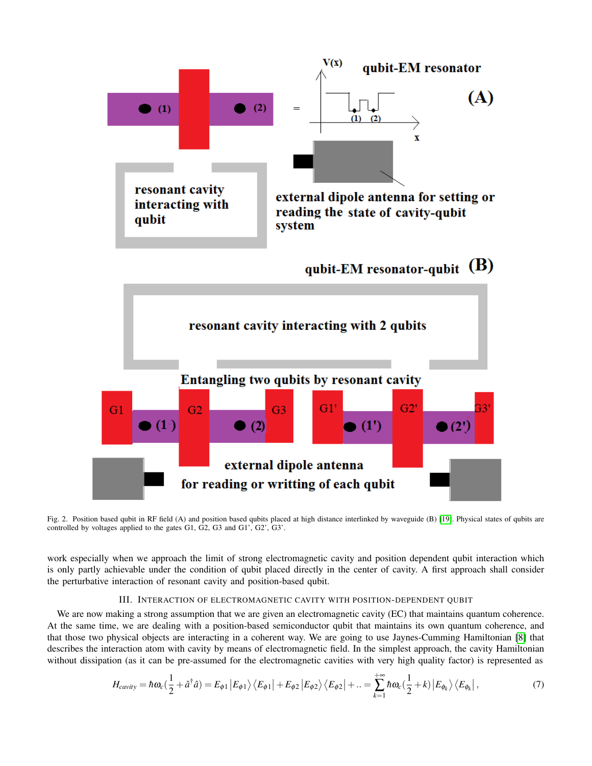

<span id="page-3-0"></span>Fig. 2. Position based qubit in RF field (A) and position based qubits placed at high distance interlinked by waveguide (B) [\[19\]](#page-19-1). Physical states of qubits are controlled by voltages applied to the gates G1, G2, G3 and G1', G2', G3'.

work especially when we approach the limit of strong electromagnetic cavity and position dependent qubit interaction which is only partly achievable under the condition of qubit placed directly in the center of cavity. A first approach shall consider the perturbative interaction of resonant cavity and position-based qubit.

## III. INTERACTION OF ELECTROMAGNETIC CAVITY WITH POSITION-DEPENDENT QUBIT

We are now making a strong assumption that we are given an electromagnetic cavity (EC) that maintains quantum coherence. At the same time, we are dealing with a position-based semiconductor qubit that maintains its own quantum coherence, and that those two physical objects are interacting in a coherent way. We are going to use Jaynes-Cumming Hamiltonian [\[8\]](#page-19-8) that describes the interaction atom with cavity by means of electromagnetic field. In the simplest approach, the cavity Hamiltonian without dissipation (as it can be pre-assumed for the electromagnetic cavities with very high quality factor) is represented as

$$
H_{cavity} = \hbar \omega_c \left(\frac{1}{2} + \hat{a}^\dagger \hat{a}\right) = E_{\phi 1} \left| E_{\phi 1} \right\rangle \left\langle E_{\phi 1} \right| + E_{\phi 2} \left| E_{\phi 2} \right\rangle \left\langle E_{\phi 2} \right| + \ldots = \sum_{k=1}^{+\infty} \hbar \omega_c \left(\frac{1}{2} + k\right) \left| E_{\phi_k} \right\rangle \left\langle E_{\phi_k} \right|,\tag{7}
$$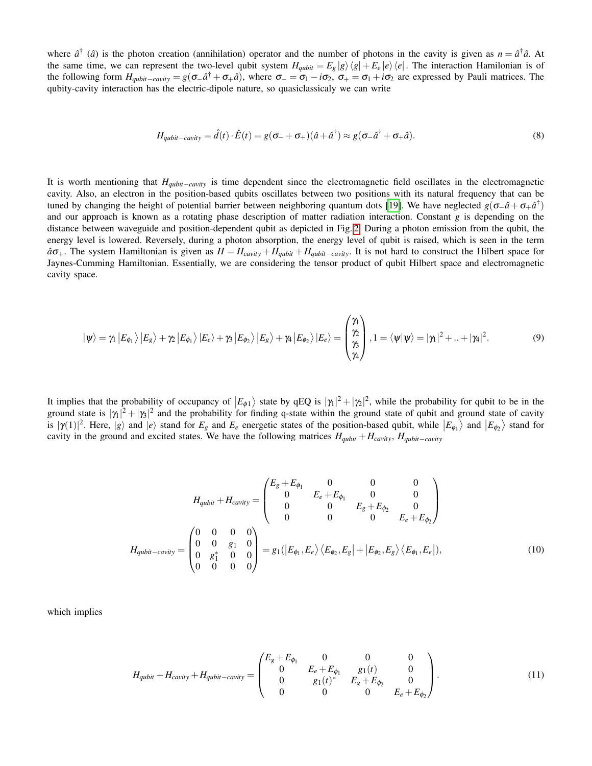where  $\hat{a}^{\dagger}$  ( $\hat{a}$ ) is the photon creation (annihilation) operator and the number of photons in the cavity is given as  $n = \hat{a}^{\dagger} \hat{a}$ . At the same time, we can represent the two-level qubit system  $H_{qubit} = E_g |g\rangle \langle g| + E_e |e\rangle \langle e|$ . The interaction Hamilonian is of the following form  $H_{qubit-cavity} = g(\sigma_-\hat{a}^\dagger + \sigma_+\hat{a})$ , where  $\sigma_- = \sigma_1 - i\sigma_2$ ,  $\sigma_+ = \sigma_1 + i\sigma_2$  are expressed by Pauli matrices. The qubity-cavity interaction has the electric-dipole nature, so quasiclassicaly we can write

$$
H_{qubit-cavity} = \hat{d}(t) \cdot \hat{E}(t) = g(\sigma_- + \sigma_+)(\hat{a} + \hat{a}^\dagger) \approx g(\sigma_- \hat{a}^\dagger + \sigma_+ \hat{a}). \tag{8}
$$

It is worth mentioning that *Hqubit*−*cavity* is time dependent since the electromagnetic field oscillates in the electromagnetic cavity. Also, an electron in the position-based qubits oscillates between two positions with its natural frequency that can be tuned by changing the height of potential barrier between neighboring quantum dots [\[19\]](#page-19-1). We have neglected  $g(\sigma_-\hat{a}+\sigma_+\hat{a}^\dagger)$ and our approach is known as a rotating phase description of matter radiation interaction. Constant *g* is depending on the distance between waveguide and position-dependent qubit as depicted in Fig. [2.](#page-3-0) During a photon emission from the qubit, the energy level is lowered. Reversely, during a photon absorption, the energy level of qubit is raised, which is seen in the term  $a\sigma_{+}$ . The system Hamiltonian is given as  $H = H_{cavity} + H_{qubit} + H_{qubit}$ . It is not hard to construct the Hilbert space for Jaynes-Cumming Hamiltonian. Essentially, we are considering the tensor product of qubit Hilbert space and electromagnetic cavity space.

$$
|\psi\rangle = \gamma_1 |E_{\phi_1}\rangle |E_g\rangle + \gamma_2 |E_{\phi_1}\rangle |E_e\rangle + \gamma_3 |E_{\phi_2}\rangle |E_g\rangle + \gamma_4 |E_{\phi_2}\rangle |E_e\rangle = \begin{pmatrix} \gamma_1 \\ \gamma_2 \\ \gamma_3 \\ \gamma_4 \end{pmatrix}, 1 = \langle \psi | \psi \rangle = |\gamma_1|^2 + ... + |\gamma_4|^2. \tag{9}
$$

It implies that the probability of occupancy of  $|E_{\phi 1}\rangle$  state by qEQ is  $|\gamma_1|^2 + |\gamma_2|^2$ , while the probability for qubit to be in the ground state is  $|\gamma_1|^2 + |\gamma_3|^2$  and the probability for finding q-state within the ground state of qubit and ground state of cavity is  $|\gamma(1)|^2$ . Here,  $|g\rangle$  and  $|e\rangle$  stand for  $E_g$  and  $E_e$  energetic states of the position-based qubit, while  $|E_{\phi_1}\rangle$  and  $|E_{\phi_2}\rangle$  stand for cavity in the ground and excited states. We have the following matrices  $H_{\alpha \nu i t}$ ,  $H_{\alpha \nu i t}$ ,  $H_{\alpha \nu i t}$ ,  $H_{\alpha \nu i t}$ ,

$$
H_{qubit} + H_{cavity} = \begin{pmatrix} E_g + E_{\phi_1} & 0 & 0 & 0 \\ 0 & E_e + E_{\phi_1} & 0 & 0 \\ 0 & 0 & E_g + E_{\phi_2} & 0 \\ 0 & 0 & 0 & E_e + E_{\phi_2} \end{pmatrix}
$$

$$
H_{qubit-cavity} = \begin{pmatrix} 0 & 0 & 0 & 0 \\ 0 & 0 & g_1 & 0 \\ 0 & g_1^* & 0 & 0 \\ 0 & 0 & 0 & 0 \end{pmatrix} = g_1(|E_{\phi_1}, E_e) \langle E_{\phi_2}, E_g| + |E_{\phi_2}, E_g \rangle \langle E_{\phi_1}, E_e|), \tag{10}
$$

which implies

<span id="page-4-0"></span>
$$
H_{qubit} + H_{cavity} + H_{qubit-cavity} = \begin{pmatrix} E_g + E_{\phi_1} & 0 & 0 & 0 \\ 0 & E_e + E_{\phi_1} & g_1(t) & 0 \\ 0 & g_1(t)^* & E_g + E_{\phi_2} & 0 \\ 0 & 0 & 0 & E_e + E_{\phi_2} \end{pmatrix}.
$$
 (11)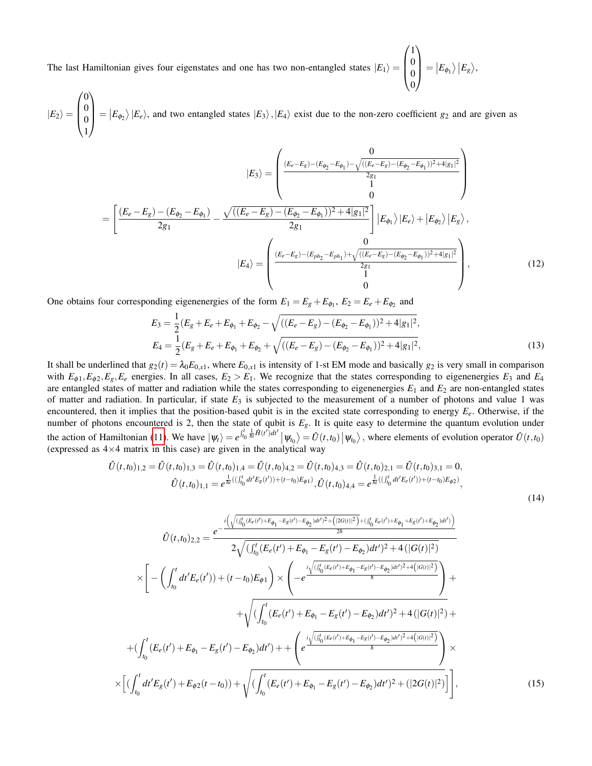The last Hamiltonian gives four eigenstates and one has two non-entangled states  $|E_1\rangle =$  $\sqrt{ }$  $\overline{\phantom{a}}$ 1  $\boldsymbol{0}$  $\boldsymbol{0}$  $\boldsymbol{0}$  $\setminus$  $\Big\vert = \big\vert E_{\phi_1} \big\rangle \, \big\vert E_{g} \big\rangle,$ 

 $|E_2\rangle =$  $\sqrt{ }$  $\overline{\phantom{a}}$ 0 0 0 1  $\setminus$  $|E_{\phi_2}\rangle|E_e\rangle$ , and two entangled states  $|E_3\rangle$ ,  $|E_4\rangle$  exist due to the non-zero coefficient *g*<sub>2</sub> and are given as

$$
|E_{3}\rangle = \begin{pmatrix} \frac{(E_{e} - E_{g}) - (E_{\phi_{2}} - E_{\phi_{1}}) - \sqrt{((E_{e} - E_{g}) - (E_{\phi_{2}} - E_{\phi_{1}}))^2 + 4|g_{1}|^2}}{2g_{1}}\\ 0\\ 0 \end{pmatrix}
$$

$$
= \left[\frac{(E_{e} - E_{g}) - (E_{\phi_{2}} - E_{\phi_{1}})}{2g_{1}} - \frac{\sqrt{((E_{e} - E_{g}) - (E_{\phi_{2}} - E_{\phi_{1}}))^2 + 4|g_{1}|^2}}{2g_{1}}\right] |E_{\phi_{1}}\rangle |E_{e}\rangle + |E_{\phi_{2}}\rangle |E_{g}\rangle,
$$

$$
|E_{4}\rangle = \begin{pmatrix} \frac{(E_{e} - E_{g}) - (E_{ph_{2}} - E_{ph_{1}}) + \sqrt{((E_{e} - E_{g}) - (E_{\phi_{2}} - E_{\phi_{1}}))^2 + 4|g_{1}|^2}}{2g_{1}}\\ 0\\ 0 \end{pmatrix},
$$
(12)

One obtains four corresponding eigenenergies of the form  $E_1 = E_g + E_{\phi_1}$ ,  $E_2 = E_e + E_{\phi_2}$  and

 $\times$ 

$$
E_3 = \frac{1}{2}(E_g + E_e + E_{\phi_1} + E_{\phi_2} - \sqrt{((E_e - E_g) - (E_{\phi_2} - E_{\phi_1}))^2 + 4|g_1|^2},
$$
  
\n
$$
E_4 = \frac{1}{2}(E_g + E_e + E_{\phi_1} + E_{\phi_2} + \sqrt{((E_e - E_g) - (E_{\phi_2} - E_{\phi_1}))^2 + 4|g_1|^2},
$$
\n(13)

It shall be underlined that  $g_2(t) = \lambda_0 E_{0,x}$ , where  $E_{0,x}$  is intensity of 1-st EM mode and basically  $g_2$  is very small in comparison with  $E_{\phi 1}, E_{\phi 2}, E_{\phi}, E_{\phi}$  energies. In all cases,  $E_2 > E_1$ . We recognize that the states corresponding to eigenenergies  $E_3$  and  $E_4$ are entangled states of matter and radiation while the states corresponding to eigenenergies  $E_1$  and  $E_2$  are non-entangled states of matter and radiation. In particular, if state  $E_3$  is subjected to the measurement of a number of photons and value 1 was encountered, then it implies that the position-based qubit is in the excited state corresponding to energy *Ee*. Otherwise, if the number of photons encountered is 2, then the state of qubit is *Eg*. It is quite easy to determine the quantum evolution under the action of Hamiltonian [\(11\)](#page-4-0). We have  $|\psi_t\rangle = e^{\int_{t_0}^t \frac{1}{\hbar t}\hat{H}(t')dt'} |\psi_{t_0}\rangle = \hat{U}(t,t_0) |\psi_{t_0}\rangle$ , where elements of evolution operator  $\hat{U}(t,t_0)$ (expressed as  $4\times4$  matrix in this case) are given in the analytical way

$$
\hat{U}(t,t_0)_{1,2} = \hat{U}(t,t_0)_{1,3} = \hat{U}(t,t_0)_{1,4} = \hat{U}(t,t_0)_{4,2} = \hat{U}(t,t_0)_{4,3} = \hat{U}(t,t_0)_{2,1} = \hat{U}(t,t_0)_{3,1} = 0,
$$
\n
$$
\hat{U}(t,t_0)_{1,1} = e^{\frac{1}{\hbar}((\int_{t_0}^t dt' E_g(t')) + (t-t_0)E_{\phi 1})}, \hat{U}(t,t_0)_{4,4} = e^{\frac{1}{\hbar}((\int_{t_0}^t dt' E_e(t')) + (t-t_0)E_{\phi 2})},
$$
\n(14)

$$
\hat{U}(t,t_{0})_{2,2} = \frac{e^{-\frac{i\left(\sqrt{(f_{0}^{t}(E_{e}(t') + E_{\phi_{1}} - E_{g}(t') - E_{\phi_{2}})dt')^{2} + ([2G(t))^{2}\right) + (f_{0}^{t}E_{e}(t') + E_{\phi_{1}} + E_{g}(t') + E_{\phi_{2}})dt')}\n\chi\left[\frac{2\sqrt{((f_{0}^{t}(E_{e}(t') + E_{\phi_{1}} - E_{g}(t') - E_{\phi_{2}})dt')^{2} + 4\left(|G(t)|^{2})}\n\right)}{2\sqrt{((f_{0}^{t}(E_{e}(t')) + E_{\phi_{1}} - E_{g}(t') - E_{\phi_{2}})dt')^{2} + 4\left(|G(t)|^{2}\right)}\n\right]} + \frac{1}{\sqrt{((f_{0}^{t}(E_{e}(t') + E_{\phi_{1}} - E_{g}(t') - E_{\phi_{2}})dt')^{2} + 4\left(|G(t)|^{2}\right)} + \frac{1}{\sqrt{((f_{0}^{t}(E_{e}(t') + E_{\phi_{1}} - E_{g}(t') - E_{\phi_{2}})dt')^{2} + 4\left(|G(t)|^{2}\right)} + \frac{1}{\sqrt{((f_{0}^{t}(E_{e}(t') + E_{\phi_{1}} - E_{g}(t') - E_{\phi_{2}})dt')^{2} + 4\left(|G(t)|^{2}\right)} + \frac{1}{\sqrt{((f_{0}^{t}(E_{e}(t') + E_{\phi_{1}} - E_{g}(t') - E_{\phi_{2}})dt')^{2} + 4\left(|G(t)|^{2}\right)} + \frac{1}{\sqrt{((f_{0}^{t}(E_{e}(t') + E_{\phi_{1}} - E_{g}(t') - E_{\phi_{2}})dt')^{2} + (2G(t)|^{2})}} + \frac{1}{\sqrt{((f_{0}^{t}(E_{e}(t') + E_{\phi_{1}} - E_{g}(t') - E_{\phi_{2}})dt')^{2} + (2G(t)|^{2})}}\right)} + \frac{1}{\sqrt{((f_{0}^{t}(E_{e}(t') + E_{\phi_{1}} - E_{g}(t') - E_{\phi_{2}})dt')^{2} + (2G(t)|^{2})}} + \frac{1}{\sqrt{((f_{0}^{t}(E_{e}(t') + E_{\phi_{1}} - E_{g}(t') - E_{\phi
$$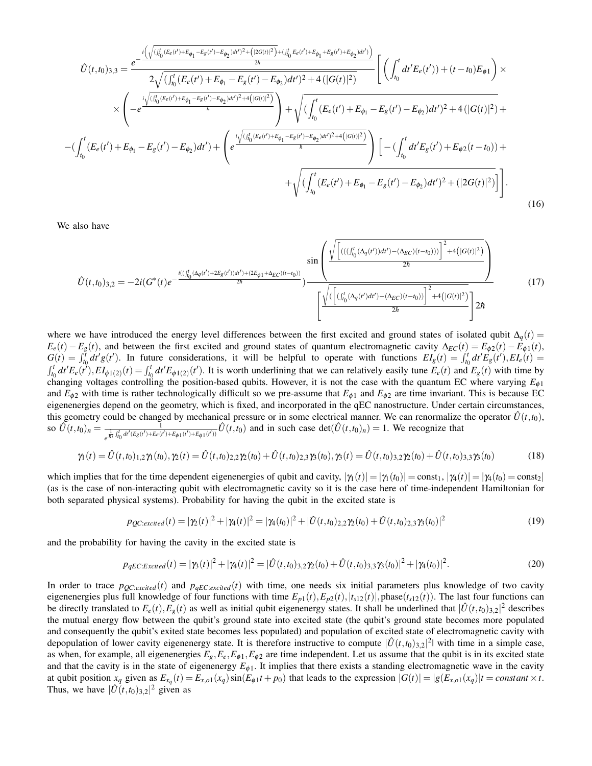$$
\hat{U}(t,t_{0})_{3,3} = \frac{e^{-\frac{i\left(\sqrt{(f_{0}^{t}(E_{e}(t')+E_{\phi_{1}}-E_{g}(t')-E_{\phi_{2}})dt')^{2}+\left(|G(t)|^{2}\right)+\left(|f_{0}^{t}(E_{e}(t')+E_{\phi_{1}}+E_{g}(t')+E_{\phi_{2}})dt'\right)\right)}{2\sqrt{\left(\int_{t_{0}^{t}(E_{e}(t')+E_{\phi_{1}}-E_{g}(t')-E_{\phi_{2}})dt'\right)^{2}+4\left(|G(t)|^{2}\right)}}}\n\times\n\left(-e^{\frac{i\sqrt{(f_{0}^{t}(E_{e}(t')+E_{\phi_{1}}-E_{g}(t')-E_{\phi_{2}})dt')^{2}+4\left(|G(t)|^{2}\right)}{\hbar}}}{\frac{1}{\sqrt{\left(\int_{t_{0}^{t}(E_{e}(t')+E_{\phi_{1}}-E_{g}(t')-E_{\phi_{2}})dt'\right)^{2}+4\left(|G(t)|^{2}\right)}}}{\hbar}\right)}+\n\sqrt{\left(\int_{t_{0}^{t}(E_{e}(t')+E_{\phi_{1}}-E_{g}(t')-E_{\phi_{2}})dt'\right)^{2}+4\left(|G(t)|^{2}\right)+\n-(\int_{t_{0}^{t}(E_{e}(t')+E_{\phi_{1}}-E_{g}(t')-E_{\phi_{2}})dt')^{2}+4\left(|G(t)|^{2}\right)}{\hbar}}\right)}\n\left[-\left(\int_{t_{0}^{t}(E_{e}(t')+E_{\phi_{2}}(t-t_{0}))+\n+ \sqrt{\left(\int_{t_{0}^{t}(E_{e}(t')+E_{\phi_{1}}-E_{g}(t')-E_{\phi_{2}})dt'\right)^{2}+\left(|2G(t)|^{2}\right)}\right)}\right].
$$
\n(16)

We also have

$$
\hat{U}(t,t_{0})_{3,2} = -2i(G^{*}(t)e^{-\frac{i((\int_{t_{0}}^{t}(\Delta_{q}(t') + 2E_{g}(t'))dt') + (2E_{\phi 1} + \Delta_{EC})(t-t_{0}))}{2\hbar})}{{\sum_{i}^{t}(\int_{t_{0}}^{t}(\Delta_{q}(t') + 2E_{g}(t'))dt') + (2E_{\phi 1} + \Delta_{EC})(t-t_{0}))}{2\hbar}}\frac{\sin\left(\frac{\sqrt{\left[\left(((\int_{t_{0}}^{t}(\Delta_{q}(t'))dt') - (\Delta_{EC})(t-t_{0}))\right]^{2} + 4\left(|G(t)|^{2}\right)}{2\hbar}\right]}{2\hbar}\right)}{2\hbar} \tag{17}
$$

where we have introduced the energy level differences between the first excited and ground states of isolated qubit  $\Delta_q(t)$  =  $E_e(t) - E_g(t)$ , and between the first excited and ground states of quantum electromagnetic cavity  $\Delta_{EC}(t) = E_{\phi 2}(t) - E_{\phi 1}(t)$ ,  $G(t) = \int_{t_0}^{t} dt' g(t')$ . In future considerations, it will be helpful to operate with functions  $EI_g(t) = \int_{t_0}^{t} dt' E_g(t')$ ,  $EI_e(t) =$  $\int_{t_0}^t dt' E_e(t')$ ,  $EI_{\phi 1(2)}(t) = \int_{t_0}^t dt' E_{\phi 1(2)}(t')$ . It is worth underlining that we can relatively easily tune  $E_e(t)$  and  $E_g(t)$  with time by changing voltages controlling the position-based qubits. However, it is not the case with the quantum EC where varying *E*φ<sup>1</sup> and  $E_{\phi_2}$  with time is rather technologically difficult so we pre-assume that  $E_{\phi_1}$  and  $E_{\phi_2}$  are time invariant. This is because EC eigenenergies depend on the geometry, which is fixed, and incorporated in the qEC nanostructure. Under certain circumstances, this geometry could be changed by mechanical pressure or in some electrical manner. We can renormalize the operator  $\hat{U}(t,t_0)$ , so  $\hat{U}(t,t_0)_n = \frac{1}{\frac{1}{t} \int_0^t \frac{dt'}{(E-(t'))+E-(t)}}$  $\frac{1}{e^{\frac{1}{\hbar i}\int_{t_0}^t dt'(E_g(t') + E_g(t')) + E_{\phi 1}(t') + E_{\phi 1}(t'))}} \hat{U}(t,t_0)$  and in such case  $\det(\hat{U}(t,t_0)_n) = 1$ . We recognize that

$$
\gamma_1(t) = \hat{U}(t,t_0)_{1,2}\gamma_1(t_0), \gamma_2(t) = \hat{U}(t,t_0)_{2,2}\gamma_2(t_0) + \hat{U}(t,t_0)_{2,3}\gamma_3(t_0), \gamma_3(t) = \hat{U}(t,t_0)_{3,2}\gamma_2(t_0) + \hat{U}(t,t_0)_{3,3}\gamma_3(t_0)
$$
\n(18)

which implies that for the time dependent eigenenergies of qubit and cavity,  $|\gamma_1(t)| = |\gamma_1(t_0)| = \text{const}_1$ ,  $|\gamma_4(t)| = |\gamma_4(t_0)| = \text{const}_2$ (as is the case of non-interacting qubit with electromagnetic cavity so it is the case here of time-independent Hamiltonian for both separated physical systems). Probability for having the qubit in the excited state is

$$
p_{QC:excited}(t) = |\gamma_2(t)|^2 + |\gamma_4(t)|^2 = |\gamma_4(t_0)|^2 + |\hat{U}(t,t_0)_{2,2}\gamma_2(t_0) + \hat{U}(t,t_0)_{2,3}\gamma_3(t_0)|^2
$$
\n(19)

and the probability for having the cavity in the excited state is

$$
p_{qEC:Excited}(t) = |\gamma_3(t)|^2 + |\gamma_4(t)|^2 = |\hat{U}(t,t_0)_{3,2}\gamma_2(t_0) + \hat{U}(t,t_0)_{3,3}\gamma_3(t_0)|^2 + |\gamma_4(t_0)|^2. \tag{20}
$$

In order to trace  $p_{OC:excited}(t)$  and  $p_{aEC:excited}(t)$  with time, one needs six initial parameters plus knowledge of two cavity eigenenergies plus full knowledge of four functions with time  $E_{p1}(t)$ ,  $E_{p2}(t)$ ,  $|t_{s12}(t)|$ , phase( $t_{s12}(t)$ ). The last four functions can be directly translated to  $E_e(t)$ ,  $E_g(t)$  as well as initial qubit eigenenergy states. It shall be underlined that  $|\hat{U}(t,t_0)_{3,2}|^2$  describes the mutual energy flow between the qubit's ground state into excited state (the qubit's ground state becomes more populated and consequently the qubit's exited state becomes less populated) and population of excited state of electromagnetic cavity with depopulation of lower cavity eigenenergy state. It is therefore instructive to compute  $|\hat{U}(t,t_0)_{3,2}|^2$  with time in a simple case, as when, for example, all eigenenergies  $E_g$ ,  $E_e$ ,  $E_{\phi 1}$ ,  $E_{\phi 2}$  are time independent. Let us assume that the qubit is in its excited state and that the cavity is in the state of eigenenergy  $E_{\phi 1}$ . It implies that there exists a standing electromagnetic wave in the cavity at qubit position  $x_q$  given as  $E_{x_q}(t) = E_{x,q}(x_q) \sin(E_{\phi 1}t + p_0)$  that leads to the expression  $|G(t)| = |g(E_{x,q}(x_q)|t) = constant \times t$ . Thus, we have  $|\hat{U}(t,t_0)_{3,2}|^2$  given as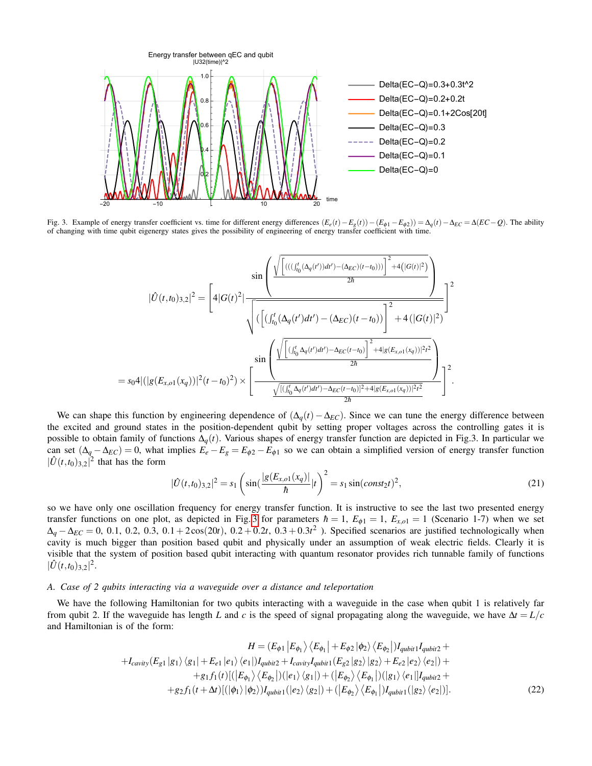

<span id="page-7-0"></span>Fig. 3. Example of energy transfer coefficient vs. time for different energy differences  $(E_e(t) - E_g(t)) - (E_{\phi 1} - E_{\phi 2})) = \Delta_q(t) - \Delta_{EC} = \Delta(EC - Q)$ . The ability of changing with time qubit eigenergy states gives the possibility of engineering of energy transfer coefficient with time.

$$
|\hat{U}(t,t_{0})_{3,2}|^{2} = \left[4|G(t)^{2}|\frac{\sin\left(\frac{\sqrt{\left[\left(((\int_{t_{0}}^{t}(\Delta_{q}(t'))dt')-(\Delta_{EC})(t-t_{0}))\right]^{2}+4(|G(t)|^{2})}{2\hbar}\right)}{2\hbar}\right)}{\sqrt{\left(\left[\left(\int_{t_{0}}^{t}(\Delta_{q}(t')dt')-(\Delta_{EC})(t-t_{0})\right)\right]^{2}+4(|G(t)|^{2})}{2\hbar}\right]^{2}}\right]}{2}
$$
\n
$$
= s_{0}4|(|g(E_{x,01}(x_{q}))|^{2}(t-t_{0})^{2}) \times \left[\frac{\sin\left(\frac{\sqrt{\left[\left((\int_{t_{0}}^{t}\Delta_{q}(t')dt')-\Delta_{EC}(t-t_{0})\right]^{2}+4|g(E_{x,01}(x_{q}))|^{2}t^{2}}{2\hbar}\right)}{2\hbar}\right)}{\frac{\sqrt{\left[\left(\int_{t_{0}}^{t}\Delta_{q}(t')dt')-\Delta_{EC}(t-t_{0})\right]^{2}+4|g(E_{x,01}(x_{q}))|^{2}t^{2}}}{2\hbar}}\right]^{2}.
$$

We can shape this function by engineering dependence of  $(\Delta_q(t) - \Delta_{EC})$ . Since we can tune the energy difference between the excited and ground states in the position-dependent qubit by setting proper voltages across the controlling gates it is possible to obtain family of functions ∆*q*(*t*). Various shapes of energy transfer function are depicted in Fig.3. In particular we can set  $(\Delta_q - \Delta_{EC}) = 0$ , what implies  $E_e - E_g = E_{\phi 2} - E_{\phi 1}$  so we can obtain a simplified version of energy transfer function  $|\hat{U}(t,t_0)_{3,2}|^2$  that has the form

$$
|\hat{U}(t,t_0)_{3,2}|^2 = s_1 \left( \sin\left(\frac{|g(E_{x,01}(x_q))|}{\hbar}\right)t\right)^2 = s_1 \sin\left(\cos t_2 t\right)^2,\tag{21}
$$

so we have only one oscillation frequency for energy transfer function. It is instructive to see the last two presented energy transfer functions on one plot, as depicted in Fig. [3](#page-7-0) for parameters  $\hbar = 1$ ,  $E_{\phi 1} = 1$ ,  $E_{x,o1} = 1$  (Scenario 1-7) when we set  $\Delta_q - \Delta_{EC} = 0$ , 0.1, 0.2, 0.3, 0.1 + 2 cos(20*t*), 0.2 + 0.2*t*, 0.3 + 0.3*t*<sup>2</sup>). Specified scenarios are justified technologically when cavity is much bigger than position based qubit and physically under an assumption of weak electric fields. Clearly it is visible that the system of position based qubit interacting with quantum resonator provides rich tunnable family of functions  $|\hat{U}(t,t_0)_{3,2}|^2$ .

## *A. Case of 2 qubits interacting via a waveguide over a distance and teleportation*

We have the following Hamiltonian for two qubits interacting with a waveguide in the case when qubit 1 is relatively far from qubit 2. If the waveguide has length *L* and *c* is the speed of signal propagating along the waveguide, we have  $\Delta t = L/c$ and Hamiltonian is of the form:

$$
H = (E_{\phi 1} | E_{\phi_1} \rangle \langle E_{\phi_1} | + E_{\phi 2} | \phi_2 \rangle \langle E_{\phi_2} |) I_{qubit1} I_{qubit2} ++ I_{cavity}(E_{g 1} | g_1 \rangle \langle g_1 | + E_{e 1} | e_1 \rangle \langle e_1 |) I_{qubit2} + I_{cavity} I_{qubit1}(E_{g 2} | g_2 \rangle | g_2 \rangle + E_{e 2} | e_2 \rangle \langle e_2 |) ++ g_1 f_1(t) [(|E_{\phi_1} \rangle \langle E_{\phi_2}|)(|e_1 \rangle \langle g_1|) + (|E_{\phi_2} \rangle \langle E_{\phi_1}|)(|g_1 \rangle \langle e_1|] I_{qubit2} ++ g_2 f_1(t + \Delta t) [(|\phi_1 \rangle | \phi_2) \rangle I_{qubit1}(|e_2 \rangle \langle g_2|) + (|E_{\phi_2} \rangle \langle E_{\phi_1}|) I_{qubit1}(|g_2 \rangle \langle e_2|)]. \tag{22}
$$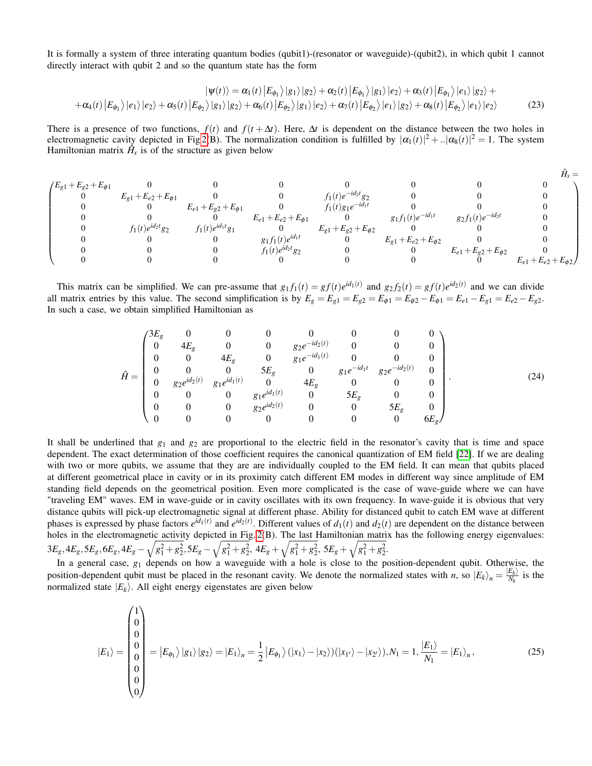It is formally a system of three interating quantum bodies (qubit1)-(resonator or waveguide)-(qubit2), in which qubit 1 cannot directly interact with qubit 2 and so the quantum state has the form

$$
|\psi(t)\rangle = \alpha_1(t) |E_{\phi_1}\rangle|g_1\rangle|g_2\rangle + \alpha_2(t) |E_{\phi_1}\rangle|g_1\rangle|e_2\rangle + \alpha_3(t) |E_{\phi_1}\rangle|e_1\rangle|e_2\rangle + + \alpha_4(t) |E_{\phi_1}\rangle|e_1\rangle|e_2\rangle + \alpha_5(t) |E_{\phi_2}\rangle|g_1\rangle|g_2\rangle + \alpha_6(t) |E_{\phi_2}\rangle|g_1\rangle|e_2\rangle + \alpha_7(t) |E_{\phi_2}\rangle|e_1\rangle|g_2\rangle + \alpha_8(t) |E_{\phi_2}\rangle|e_1\rangle|e_2\rangle
$$
(23)

There is a presence of two functions,  $f(t)$  and  $f(t + \Delta t)$ . Here,  $\Delta t$  is dependent on the distance between the two holes in electromagnetic cavity depicted in Fig [2\(](#page-3-0)B). The normalization condition is fulfilled by  $|\alpha_1(t)|^2 + |\alpha_8(t)|^2 = 1$ . The system Hamiltonian matrix  $\hat{H}_s$  is of the structure as given below

$$
\begin{pmatrix}\nE_{g1} + E_{g2} + E_{\phi 1} & 0 & 0 & 0 & 0 & 0 & 0 & 0 \\
0 & E_{g1} + E_{e2} + E_{\phi 1} & 0 & 0 & f_1(t)e^{-id_2t}g_2 & 0 & 0 & 0 \\
0 & 0 & E_{e1} + E_{g2} + E_{\phi 1} & 0 & f_1(t)g_1e^{-id_1t} & 0 & 0 & 0 \\
0 & 0 & 0 & E_{e1} + E_{e2} + E_{\phi 1} & 0 & g_1f_1(t)e^{-id_1t} & g_2f_1(t)e^{-id_2t} & 0 \\
0 & 0 & 0 & 0 & E_{g1} + E_{g2} + E_{\phi 2} & 0 & 0 & 0 \\
0 & 0 & 0 & g_1f_1(t)e^{id_1t} & 0 & E_{g1} + E_{g2} + E_{\phi 2} & 0 & 0 \\
0 & 0 & 0 & f_1(t)e^{id_1t}g_2 & 0 & E_{g1} + E_{g2} + E_{\phi 2} & 0 & 0 \\
0 & 0 & 0 & 0 & 0 & 0 & 0 & E_{e1} + E_{g2} + E_{\phi 2} & 0 \\
0 & 0 & 0 & 0 & 0 & 0 & 0 & 0 & E_{e1} + E_{g2} + E_{\phi 2}\n\end{pmatrix}
$$

This matrix can be simplified. We can pre-assume that  $g_1f_1(t) = gf(t)e^{id_1(t)}$  and  $g_2f_2(t) = gf(t)e^{id_2(t)}$  and we can divide all matrix entries by this value. The second simplification is by  $E_g = E_{g1} = E_{g2} = E_{\phi 1} = E_{\phi 2} - E_{\phi 1} = E_{e1} - E_{g1} = E_{e2} - E_{g2}$ . In such a case, we obtain simplified Hamiltonian as

$$
\hat{H} = \begin{pmatrix}\n3E_g & 0 & 0 & 0 & 0 & 0 & 0 & 0 \\
0 & 4E_g & 0 & 0 & g_2e^{-id_2(t)} & 0 & 0 & 0 \\
0 & 0 & 4E_g & 0 & g_1e^{-id_1(t)} & 0 & 0 & 0 \\
0 & 0 & 0 & 5E_g & 0 & g_1e^{-id_1t} & g_2e^{-id_2(t)} & 0 \\
0 & g_2e^{id_2(t)} & g_1e^{id_1(t)} & 0 & 4E_g & 0 & 0 & 0 \\
0 & 0 & 0 & g_1e^{id_1(t)} & 0 & 5E_g & 0 & 0 \\
0 & 0 & 0 & g_2e^{id_2(t)} & 0 & 0 & 5E_g & 0 \\
0 & 0 & 0 & 0 & 0 & 0 & 0 & 6E_g\n\end{pmatrix}.
$$
\n(24)

It shall be underlined that  $g_1$  and  $g_2$  are proportional to the electric field in the resonator's cavity that is time and space dependent. The exact determination of those coefficient requires the canonical quantization of EM field [\[22\]](#page-19-9). If we are dealing with two or more qubits, we assume that they are are individually coupled to the EM field. It can mean that qubits placed at different geometrical place in cavity or in its proximity catch different EM modes in different way since amplitude of EM standing field depends on the geometrical position. Even more complicated is the case of wave-guide where we can have "traveling EM" waves. EM in wave-guide or in cavity oscillates with its own frequency. In wave-guide it is obvious that very distance qubits will pick-up electromagnetic signal at different phase. Ability for distanced qubit to catch EM wave at different phases is expressed by phase factors  $e^{id_1(t)}$  and  $e^{id_2(t)}$ . Different values of  $d_1(t)$  and  $d_2(t)$  are dependent on the distance between holes in the electromagnetic activity depicted in Fig. [2\(](#page-3-0)B). The last Hamiltonian matrix has the following energy eigenvalues:  $3E_g, 4E_g, 5E_g, 6E_g, 4E_g - \sqrt{g_1^2+g_2^2}, 5E_g - \sqrt{g_1^2+g_2^2}, \ 4E_g + \sqrt{g_1^2+g_2^2}, \ 5E_g + \sqrt{g_1^2+g_2^2}.$ 

In a general case, *g*<sup>1</sup> depends on how a waveguide with a hole is close to the position-dependent qubit. Otherwise, the position-dependent qubit must be placed in the resonant cavity. We denote the normalized states with *n*, so  $|E_k\rangle_n = \frac{|E_k\rangle}{N_k}$  $\frac{E_k}{N_k}$  is the normalized state  $|E_k\rangle$ . All eight energy eigenstates are given below

$$
|E_1\rangle = \begin{pmatrix} 1 \\ 0 \\ 0 \\ 0 \\ 0 \\ 0 \\ 0 \end{pmatrix} = |E_{\phi_1}\rangle |g_1\rangle |g_2\rangle = |E_1\rangle_n = \frac{1}{2} |E_{\phi_1}\rangle (|x_1\rangle - |x_2\rangle)(|x_{1}\rangle - |x_{2}\rangle), N_1 = 1, \frac{|E_1\rangle}{N_1} = |E_1\rangle_n, \tag{25}
$$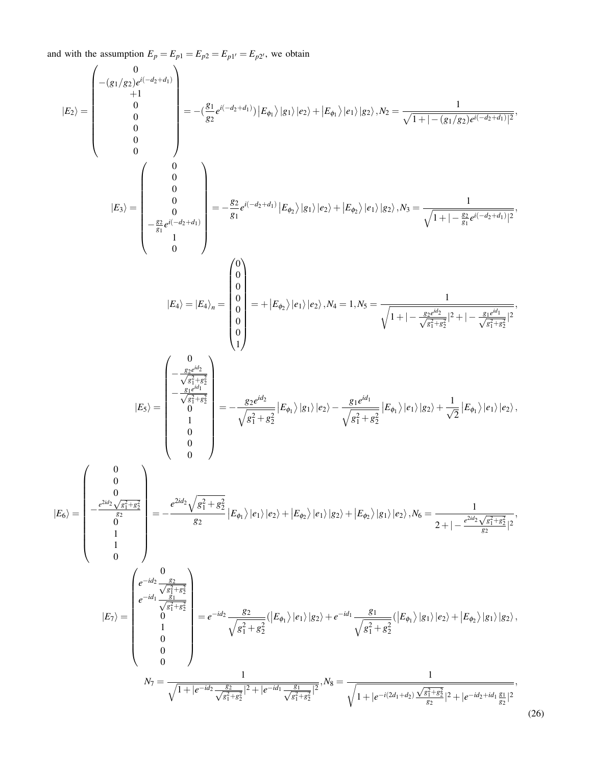and with the assumption  $E_p = E_{p1} = E_{p2} = E_{p1'} = E_{p2'}$ , we obtain

$$
|E_{2}\rangle=\left(\begin{array}{c} -\left(g_{1}/g_{2}\right)e^{i(-d_{2}+d_{1})}\\ 0\\ 0\\ 0\\ 0\\ \end{array}\right)= -\left(\frac{g_{1}}{g_{2}}e^{i(-d_{2}+d_{1})}\right) |E_{\theta_{1}}\rangle |e_{2}\rangle +|E_{\theta_{1}}\rangle |e_{1}\rangle |g_{2}\rangle , \mathcal{N}_{2}=\frac{1}{\sqrt{1+|-(g_{1}/g_{2})e^{i(-d_{2}+d_{1})}|^{2}}},\\ \left(\begin{array}{c} 0\\ 0\\ 0\\ 0\\ 0\\ \end{array}\right)= -\frac{g_{2}}{g_{1}}e^{i(-d_{2}+d_{1})}\left|E_{\theta_{2}}\rangle |g_{1}\rangle |e_{2}\rangle +|E_{\theta_{2}}\rangle |e_{1}\rangle |g_{2}\rangle , \mathcal{N}_{3}=\frac{1}{\sqrt{1+|-\frac{g_{3}}{g_{1}}e^{i(-d_{2}+d_{1})}|^{2}}},\\ \left(\begin{array}{c} 0\\ 0\\ 0\\ 0\\ 0\\ \end{array}\right)=E_{4}\rangle=\left|\begin{array}{c} 0\\ 0\\ 0\\ 0\\ 0\\ \end{array}\right|=+|E_{4}\rangle_{\theta}=\left|\begin{array}{c} 0\\ 0\\ 0\\ 0\\ 0\\ \end{array}\right|=+|E_{\theta_{2}}\rangle |e_{1}\rangle |e_{2}\rangle , \mathcal{N}_{4}=1, \mathcal{N}_{3}=\frac{1}{\sqrt{1+|-\frac{g_{1}}{g_{1}}e^{i(-d_{2}+d_{1})}|^{2}}},\\ \left(\begin{array}{c} 0\\ -\frac{g_{2}e^{i\theta_{2}}}{\sqrt{g_{1}^{2}+g_{2}^{2}}}\end{array}\right)\\ \left|E_{5}\rangle=\left(\begin{array}{c} 0\\ -\frac{g_{3}e^{i\theta_{3}}}{\sqrt{g_{1}^{2}+g_{2}^{2}}}\end{array}\right|E_{\theta_{1}}\rangle |e_{1}\rangle |e_{2}\rangle +|E_{\theta_{2}}\rangle |e_{1}\rangle |e_{2}\rangle -\frac{g_{1}e^{i\theta_{3}}}{\sqrt{g_{1}^{2}+g_{2}^{2}}}\left|E_{\theta_{1}}\rangle |e_{1}\rangle |e_{2}\rangle +\frac{1}{\sqrt{2}}\left
$$

(26)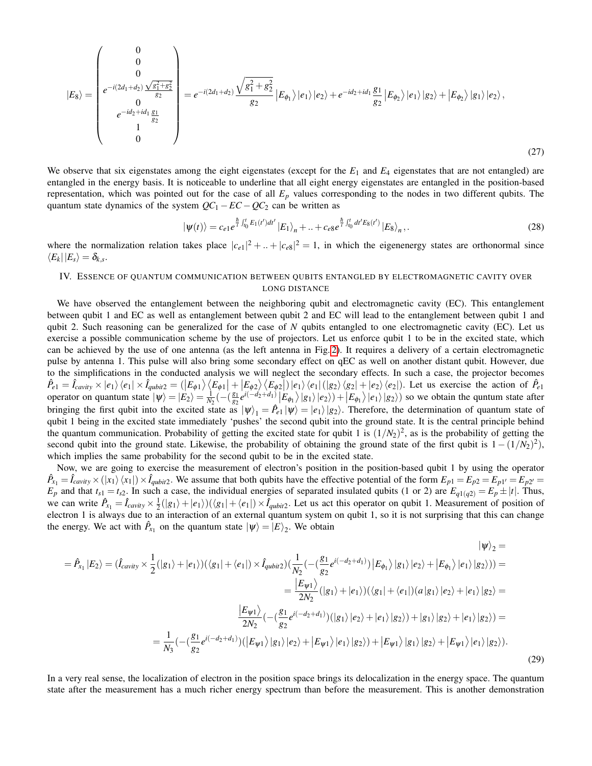$$
|E_8\rangle = \begin{pmatrix} 0 \\ 0 \\ e^{-i(2d_1+d_2)} \frac{\sqrt{g_1^2+g_2^2}}{g_2} \\ 0 \\ e^{-id_2+id_1} \frac{g_1}{g_2} \\ 1 \\ 0 \end{pmatrix} = e^{-i(2d_1+d_2)} \frac{\sqrt{g_1^2+g_2^2}}{g_2} |E_{\phi_1}\rangle |e_1\rangle |e_2\rangle + e^{-id_2+id_1} \frac{g_1}{g_2} |E_{\phi_2}\rangle |e_1\rangle |g_2\rangle + |E_{\phi_2}\rangle |g_1\rangle |e_2\rangle,
$$
\n(27)

We observe that six eigenstates among the eight eigenstates (except for the  $E_1$  and  $E_4$  eigenstates that are not entangled) are entangled in the energy basis. It is noticeable to underline that all eight energy eigenstates are entangled in the position-based representation, which was pointed out for the case of all *E<sup>p</sup>* values corresponding to the nodes in two different qubits. The quantum state dynamics of the system  $QC_1 - EC - QC_2$  can be written as

$$
|\psi(t)\rangle = c_{e1}e^{\frac{\hbar}{l}\int_{t_0}^{t}E_1(t')dt'}|E_1\rangle_n + ... + c_{e8}e^{\frac{\hbar}{l}\int_{t_0}^{t}dt'E_8(t')}|E_8\rangle_n, \qquad (28)
$$

where the normalization relation takes place  $|c_{e1}|^2 + ... + |c_{e8}|^2 = 1$ , in which the eigenenergy states are orthonormal since  $\bra{E_k}\ket{E_s} = \delta_{k,s}.$ 

# IV. ESSENCE OF QUANTUM COMMUNICATION BETWEEN QUBITS ENTANGLED BY ELECTROMAGNETIC CAVITY OVER LONG DISTANCE

We have observed the entanglement between the neighboring qubit and electromagnetic cavity (EC). This entanglement between qubit 1 and EC as well as entanglement between qubit 2 and EC will lead to the entanglement between qubit 1 and qubit 2. Such reasoning can be generalized for the case of *N* qubits entangled to one electromagnetic cavity (EC). Let us exercise a possible communication scheme by the use of projectors. Let us enforce qubit 1 to be in the excited state, which can be achieved by the use of one antenna (as the left antenna in Fig. [2\)](#page-3-0). It requires a delivery of a certain electromagnetic pulse by antenna 1. This pulse will also bring some secondary effect on qEC as well on another distant qubit. However, due to the simplifications in the conducted analysis we will neglect the secondary effects. In such a case, the projector becomes  $\hat{P}_{e1} = \hat{I}_{cavity} \times |e_1\rangle \langle e_1| \times \hat{I}_{qubit2} = (|E_{\phi 1}\rangle \langle E_{\phi 1}| + |E_{\phi 2}\rangle \langle E_{\phi 2}|)|e_1\rangle \langle e_1| (|g_2\rangle \langle g_2| + |e_2\rangle \langle e_2|).$  Let us exercise the action of  $\hat{P}_{e1}$ operator on quantum state  $|\psi\rangle = |E_2\rangle = \frac{1}{N_2}(-(\frac{g_1}{g_2}))$  $\frac{g_1}{g_2}e^{i(-d_2+d_1)}|E_{\phi_1}\rangle|g_1\rangle|e_2\rangle)+|E_{\phi_1}\rangle|e_1\rangle|g_2\rangle)$  so we obtain the quntum state after bringing the first qubit into the excited state as  $|\psi\rangle_1 = \hat{P}_{e1}|\psi\rangle = |e_1\rangle|g_2\rangle$ . Therefore, the determination of quantum state of qubit 1 being in the excited state immediately 'pushes' the second qubit into the ground state. It is the central principle behind the quantum communication. Probability of getting the excited state for qubit 1 is  $(1/N_2)^2$ , as is the probability of getting the second qubit into the ground state. Likewise, the probability of obtaining the ground state of the first qubit is  $1-(1/N_2)^2$ ), which implies the same probability for the second qubit to be in the excited state.

Now, we are going to exercise the measurement of electron's position in the position-based qubit 1 by using the operator  $\hat{P}_{x_1} = \hat{I}_{cavity} \times (|x_1\rangle \langle x_1|) \times \hat{I}_{qubit2}$ . We assume that both qubits have the effective potential of the form  $E_{p1} = E_{p2} = E_{p1'} = E_{p2'} = E_{p2'} = E_{p1'} = E_{p2'} = E_{p2'} = E_{p1'} = E_{p2'} = E_{p2'} = E_{p2'} = E_{p1'} = E_{p2'} = E_{p2'} = E_{p2'} = E_{p2'} = E$  $E_p$  and that  $t_{s1} = t_{s2}$ . In such a case, the individual energies of separated insulated qubits (1 or 2) are  $E_{q1(q2)} = E_p \pm |t|$ . Thus, we can write  $\hat{P}_{x_1} = \hat{I}_{cavity} \times \frac{1}{2}(|g_1\rangle + |e_1\rangle)(\langle g_1| + \langle e_1|) \times \hat{I}_{qubit2}$ . Let us act this operator on qubit 1. Measurement of position of electron 1 is always due to an interaction of an external quantum system on qubit 1, so it is not surprising that this can change the energy. We act with  $\hat{P}_{x_1}$  on the quantum state  $|\psi\rangle = |E\rangle_2$ . We obtain

$$
|\psi\rangle_{2} =
$$
\n
$$
= \hat{P}_{x_{1}}|E_{2}\rangle = (\hat{I}_{cavity} \times \frac{1}{2}(|g_{1}\rangle + |e_{1}\rangle)(\langle g_{1}| + \langle e_{1}|) \times \hat{I}_{qubit2})(\frac{1}{N_{2}}(-(\frac{g_{1}}{g_{2}}e^{i(-d_{2}+d_{1})})|E_{\phi_{1}}\rangle|g_{1}\rangle|e_{2}\rangle + |E_{\phi_{1}}\rangle|e_{1}\rangle|g_{2}\rangle)) =
$$
\n
$$
= \frac{|E_{\psi_{1}}\rangle}{2N_{2}}(|g_{1}\rangle + |e_{1}\rangle)(\langle g_{1}| + \langle e_{1}|)(a|g_{1}\rangle|e_{2}\rangle + |e_{1}\rangle|g_{2}\rangle) =
$$
\n
$$
= \frac{|E_{\psi_{1}}\rangle}{2N_{2}}(-(\frac{g_{1}}{g_{2}}e^{i(-d_{2}+d_{1})})(|g_{1}\rangle|e_{2}\rangle + |e_{1}\rangle|g_{2}\rangle) + |g_{1}\rangle|g_{2}\rangle + |e_{1}\rangle|g_{2}\rangle) =
$$
\n
$$
= \frac{1}{N_{3}}(-(\frac{g_{1}}{g_{2}}e^{i(-d_{2}+d_{1})})(|E_{\psi_{1}}\rangle|g_{1}\rangle|e_{2}\rangle + |E_{\psi_{1}}\rangle|e_{1}\rangle|g_{2}\rangle) + |E_{\psi_{1}}\rangle|g_{1}\rangle|g_{2}\rangle + |E_{\psi_{1}}\rangle|e_{1}\rangle|g_{2}\rangle).
$$
\n(29)

In a very real sense, the localization of electron in the position space brings its delocalization in the energy space. The quantum state after the measurement has a much richer energy spectrum than before the measurement. This is another demonstration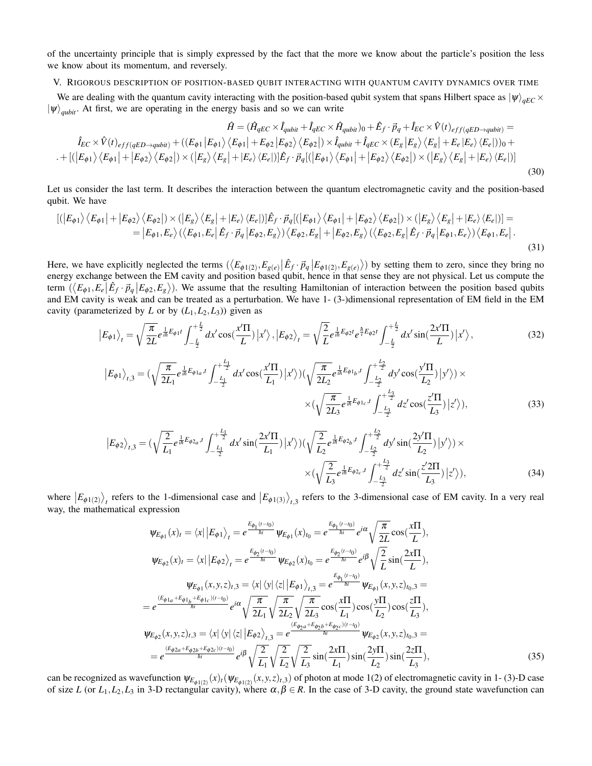of the uncertainty principle that is simply expressed by the fact that the more we know about the particle's position the less we know about its momentum, and reversely.

V. RIGOROUS DESCRIPTION OF POSITION-BASED QUBIT INTERACTING WITH QUANTUM CAVITY DYNAMICS OVER TIME

We are dealing with the quantum cavity interacting with the position-based qubit system that spans Hilbert space as  $|\psi\rangle_{aEC} \times$  $|\psi\rangle_{aubit}$ . At first, we are operating in the energy basis and so we can write

$$
\hat{H} = (\hat{H}_{qEC} \times \hat{I}_{qubit} + \hat{I}_{qEC} \times \hat{H}_{qubit})_0 + \hat{E}_f \cdot \vec{p}_q + \hat{I}_{EC} \times \hat{V}(t)_{eff(qED \to qubit)} =
$$
\n
$$
\hat{I}_{EC} \times \hat{V}(t)_{eff(qED \to qubit)} + ((E_{\phi 1} | E_{\phi 1}) \langle E_{\phi 1} | + E_{\phi 2} | E_{\phi 2} \rangle \langle E_{\phi 2} |) \times \hat{I}_{qubit} + \hat{I}_{qEC} \times (E_g | E_g) \langle E_g | + E_e | E_e \rangle \langle E_e |) )_0 +
$$
\n
$$
\cdot + [(|E_{\phi 1} \rangle \langle E_{\phi 1} | + | E_{\phi 2} \rangle \langle E_{\phi 2} |) \times (|E_g \rangle \langle E_g | + |E_e \rangle \langle E_e |)] \hat{E}_f \cdot \vec{p}_q [(|E_{\phi 1} \rangle \langle E_{\phi 1} | + | E_{\phi 2} \rangle \langle E_{\phi 2} |) \times (|E_g \rangle \langle E_g | + |E_e \rangle \langle E_e |) ]
$$
\n(30)

Let us consider the last term. It describes the interaction between the quantum electromagnetic cavity and the position-based qubit. We have

$$
\begin{split} \left[ \left( \left| E_{\phi 1} \right\rangle \left\langle E_{\phi 1} \right| + \left| E_{\phi 2} \right\rangle \left\langle E_{\phi 2} \right| \right) \times \left( \left| E_{g} \right\rangle \left\langle E_{g} \right| + \left| E_{e} \right\rangle \left\langle E_{e} \right| \right) \right] \hat{E}_{f} \cdot \vec{p}_{q} \left[ \left( \left| E_{\phi 1} \right\rangle \left\langle E_{\phi 1} \right| + \left| E_{\phi 2} \right\rangle \left\langle E_{\phi 2} \right| \right) \times \left( \left| E_{g} \right\rangle \left\langle E_{e} \right| \right) \right] = \\ &= \left| E_{\phi 1}, E_{e} \right\rangle \left( \left\langle E_{\phi 1}, E_{e} \right| \hat{E}_{f} \cdot \vec{p}_{q} \left| E_{\phi 2}, E_{g} \right\rangle \right) \left\langle E_{\phi 2}, E_{g} \right| + \left| E_{\phi 2}, E_{g} \right\rangle \left( \left\langle E_{\phi 2}, E_{g} \right| \hat{E}_{f} \cdot \vec{p}_{q} \left| E_{\phi 1}, E_{e} \right\rangle \right) \left\langle E_{\phi 1}, E_{e} \right| . \end{split} \tag{31}
$$

Here, we have explicitly neglected the terms  $(\langle E_{\phi 1(2)}, E_{g(e)} | \hat{E}_f \cdot \vec{p}_q | E_{\phi 1(2)}, E_{g(e)} \rangle)$  by setting them to zero, since they bring no energy exchange between the EM cavity and position based qubit, hence in that sense they are not physical. Let us compute the term  $(\langle E_{\phi 1}, E_e | \hat{E}_f \cdot \vec{p}_q | E_{\phi 2}, E_g \rangle)$ . We assume that the resulting Hamiltonian of interaction between the position based qubits and EM cavity is weak and can be treated as a perturbation. We have 1- (3-)dimensional representation of EM field in the EM cavity (parameterized by *L* or by  $(L_1, L_2, L_3)$ ) given as

$$
\left|E_{\phi 1}\right\rangle_t = \sqrt{\frac{\pi}{2L}} e^{\frac{1}{i\hbar}E_{\phi 1}t} \int_{-\frac{L}{2}}^{+\frac{L}{2}} dx' \cos(\frac{x'\Pi}{L}) \left|x'\right\rangle, \left|E_{\phi 2}\right\rangle_t = \sqrt{\frac{2}{L}} e^{\frac{1}{i\hbar}E_{\phi 2}t} e^{\frac{\hbar}{i}E_{\phi 2}t} \int_{-\frac{L}{2}}^{+\frac{L}{2}} dx' \sin(\frac{2x'\Pi}{L}) \left|x'\right\rangle, \tag{32}
$$

$$
|E_{\phi 1}\rangle_{t,3} = (\sqrt{\frac{\pi}{2L_1}} e^{\frac{1}{i\hbar}E_{\phi 1_a},t} \int_{-\frac{L_1}{2}}^{+\frac{L_1}{2}} dx' \cos(\frac{x'\Pi}{L_1}) |x'\rangle) (\sqrt{\frac{\pi}{2L_2}} e^{\frac{1}{i\hbar}E_{\phi 1_b},t} \int_{-\frac{L_2}{2}}^{\frac{L_2}{2}} dy' \cos(\frac{y'\Pi}{L_2}) |y'\rangle) \times \\ \times (\sqrt{\frac{\pi}{2L_3}} e^{\frac{1}{i\hbar}E_{\phi 1_c},t} \int_{-\frac{L_3}{2}}^{+\frac{L_3}{2}} dz' \cos(\frac{z'\Pi}{L_3}) |z'\rangle), \tag{33}
$$

$$
\left|E_{\phi 2}\right\rangle_{t,3} = \left(\sqrt{\frac{2}{L_1}}e^{\frac{1}{i\hbar}E_{\phi 2a},t} \int_{-\frac{L_1}{2}}^{\frac{L_1}{2}} dx' \sin(\frac{2x'\Pi}{L_1})\right|x'\right) \left(\sqrt{\frac{2}{L_2}}e^{\frac{1}{i\hbar}E_{\phi 2b},t} \int_{-\frac{L_2}{2}}^{\frac{L_2}{2}} dy' \sin(\frac{2y'\Pi}{L_2})\right|y'\right) \times \times \left(\sqrt{\frac{2}{L_3}}e^{\frac{1}{i\hbar}E_{\phi 2c},t} \int_{-\frac{L_3}{2}}^{\frac{L_3}{2}} dz' \sin(\frac{z'\2\Pi}{L_3})\right|z'\right),\tag{34}
$$

where  $|E_{\phi(12)}\rangle_t$  refers to the 1-dimensional case and  $|E_{\phi(13)}\rangle_{t,3}$  refers to the 3-dimensional case of EM cavity. In a very real way, the mathematical expression

$$
\Psi_{E_{\phi 1}}(x)_{t} = \langle x | E_{\phi 1} \rangle_{t} = e^{\frac{E_{\phi_1}(t-t_0)}{\hbar i}} \Psi_{E_{\phi 1}}(x)_{t_0} = e^{\frac{E_{\phi_1}(t-t_0)}{\hbar i}} e^{i\alpha} \sqrt{\frac{\pi}{2L}} \cos(\frac{x\Pi}{L}),
$$
  
\n
$$
\Psi_{E_{\phi 2}}(x)_{t} = \langle x | E_{\phi 2} \rangle_{t} = e^{\frac{E_{\phi_2}(t-t_0)}{\hbar i}} \Psi_{E_{\phi 2}}(x)_{t_0} = e^{\frac{E_{\phi_1}(t-t_0)}{\hbar i}} e^{i\beta} \sqrt{\frac{2}{L}} \sin(\frac{2x\Pi}{L}),
$$
  
\n
$$
\Psi_{E_{\phi 1}}(x, y, z)_{t, 3} = \langle x | \langle y | \langle z | E_{\phi 1} \rangle_{t, 3} = e^{\frac{E_{\phi_1}(t-t_0)}{\hbar i}} \Psi_{E_{\phi 1}}(x, y, z)_{t_0, 3} =
$$
  
\n
$$
= e^{\frac{(E_{\phi 1a} + E_{\phi 1b} + E_{\phi 1c})(t-t_0)}{\hbar i}} e^{i\alpha} \sqrt{\frac{\pi}{2L_1}} \sqrt{\frac{\pi}{2L_2}} \sqrt{\frac{\pi}{2L_3}} \cos(\frac{x\Pi}{L_1}) \cos(\frac{y\Pi}{L_2}) \cos(\frac{z\Pi}{L_3}),
$$
  
\n
$$
\Psi_{E_{\phi 2}}(x, y, z)_{t, 3} = \langle x | \langle y | \langle z | E_{\phi 2} \rangle_{t, 3} = e^{\frac{(E_{\phi_2a} + E_{\phi_2c})(t-t_0)}{\hbar i}} \Psi_{E_{\phi 2}}(x, y, z)_{t_0, 3} =
$$
  
\n
$$
= e^{\frac{(E_{\phi 2a} + E_{\phi 2b} + E_{\phi 2c})(t-t_0)}{\hbar i}} e^{i\beta} \sqrt{\frac{2}{L_1}} \sqrt{\frac{2}{L_2}} \sqrt{\frac{2}{L_3}} \sin(\frac{2x\Pi}{L_1}) \sin(\frac{2y\Pi}{L_2}) \sin(\frac{2z\Pi}{L_3}),
$$

can be recognized as wavefunction  $\psi_{E_{\phi(1/2)}}(x)_t(\psi_{E_{\phi(1/2)}}(x,y,z)_{t,3})$  of photon at mode 1(2) of electromagnetic cavity in 1- (3)-D case of size *L* (or  $L_1, L_2, L_3$  in 3-D rectangular cavity), where  $\alpha, \beta \in R$ . In the case of 3-D cavity, the ground state wavefunction can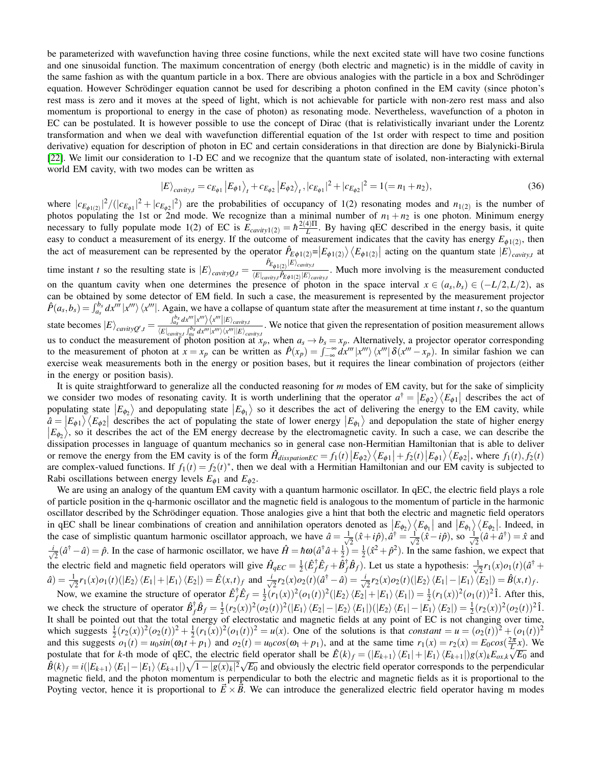be parameterized with wavefunction having three cosine functions, while the next excited state will have two cosine functions and one sinusoidal function. The maximum concentration of energy (both electric and magnetic) is in the middle of cavity in the same fashion as with the quantum particle in a box. There are obvious analogies with the particle in a box and Schrödinger equation. However Schrödinger equation cannot be used for describing a photon confined in the EM cavity (since photon's rest mass is zero and it moves at the speed of light, which is not achievable for particle with non-zero rest mass and also momentum is proportional to energy in the case of photon) as resonating mode. Nevertheless, wavefunction of a photon in EC can be postulated. It is however possible to use the concept of Dirac (that is relativistically invariant under the Lorentz transformation and when we deal with wavefunction differential equation of the 1st order with respect to time and position derivative) equation for description of photon in EC and certain considerations in that direction are done by Bialynicki-Birula [\[22\]](#page-19-9). We limit our consideration to 1-D EC and we recognize that the quantum state of isolated, non-interacting with external world EM cavity, with two modes can be written as

$$
|E\rangle_{cavity,t} = c_{E_{\phi 1}} |E_{\phi 1}\rangle_{t} + c_{E_{\phi 2}} |E_{\phi 2}\rangle_{t}, |c_{E_{\phi 1}}|^{2} + |c_{E_{\phi 2}}|^{2} = 1 (= n_{1} + n_{2}),
$$
\n(36)

where  $|c_{E_{\phi 1(2)}}|^2/(|c_{E_{\phi 1}}|^2 + |c_{E_{\phi 2}}|^2)$  are the probabilities of occupancy of 1(2) resonating modes and  $n_{1(2)}$  is the number of photos populating the 1st or 2nd mode. We recognize than a minimal number of  $n_1 + n_2$  is one photon. Minimum energy necessary to fully populate mode 1(2) of EC is  $E_{cavity1(2)} = \hbar \frac{2(4)\Pi}{L}$ . By having qEC described in the energy basis, it quite easy to conduct a measurement of its energy. If the outcome of measurement indicates that the cavity has energy  $E_{\phi(1(2))}$ , then the act of measurement can be represented by the operator  $\hat{P}_{E\phi(1(2))} = |E_{\phi(1(2))}\rangle \langle E_{\phi(1(2))}|$  acting on the quantum state  $|E\rangle_{cavity,t}$  at time instant *t* so the resulting state is  $|E\rangle_{cavityQ,t} = \frac{\hat{P}_{E_{\phi1(2)}}|E\rangle_{cavity}P_{\phi2}}{\langle E|_{cmin}, \hat{P}_{E\phi1(2)}|E\rangle_{\phi2}}$  $\frac{E_{\phi_1(z)} - E_{curity}}{E_{E_{\phi_1}(z)}E_{curity}}$ . Much more involving is the measurement conducted on the quantum cavity when one determines the presence of photon in the space interval  $x \in (a_s, b_s) \in (-L/2, L/2)$ , as can be obtained by some detector of EM field. In such a case, the measurement is represented by the measurement projector  $\hat{P}(a_s, b_s) = \int_{a_s}^{b_s} dx''' |x''' \rangle \langle x'''|$ . Again, we have a collapse of quantum state after the measurement at time instant t, so the quantum state becomes  $|E\rangle_{cavityQ',t} = \frac{\int_{aS}^{b_S} dx'''\left|x'''\right\rangle \left\langle x'''\right|\left|E\right\rangle_{cavity}}{\left|E\right\rangle_{dX'}\left|x''\right\rangle\left\langle x'''\right|\left|E\right\rangle}\right.$  $\frac{f_{a_s}}{\langle E|_{cavity, t}} \frac{f_{a_s}}{g_s} dx''/x''/x''/x''/E'}$ . We notice that given the representation of position measurement allows us to conduct the measurement of photon position at  $x_p$ , when  $a_s \to b_s = x_p$ . Alternatively, a projector operator corresponding to the measurement of photon at  $x = x_p$  can be written as  $\hat{P}(x_p) = \int_{-\infty}^{+\infty} dx''' |x''(x_p)| dx'' - x_p$ . In similar fashion we can exercise weak measurements both in the energy or position bases, but it requires the linear combination of projectors (either in the energy or position basis).

It is quite straightforward to generalize all the conducted reasoning for *m* modes of EM cavity, but for the sake of simplicity we consider two modes of resonating cavity. It is worth underlining that the operator  $a^{\dagger} = |E_{\phi 2}\rangle \langle E_{\phi 1}|$  describes the act of populating state  $|E_{\phi_2}\rangle$  and depopulating state  $|E_{\phi_1}\rangle$  so it describes the act of delivering the energy to the EM cavity, while  $\hat{a} = |E_{\phi 1}\rangle \langle E_{\phi 2}|$  describes the act of populating the state of lower energy  $|E_{\phi_1}\rangle$  and depopulation the state of higher energy  $|E_{\phi_2}\rangle$ , so it describes the act of the EM energy decrease by the electromagnetic cavity. In such a case, we can describe the dissipation processes in language of quantum mechanics so in general case non-Hermitian Hamiltonian that is able to deliver or remove the energy from the EM cavity is of the form  $\hat{H}_{dissipationEC} = f_1(t) |E_{\phi 2}\rangle \langle E_{\phi 1}| + f_2(t) |E_{\phi 1}\rangle \langle E_{\phi 2}|$ , where  $f_1(t), f_2(t)$ are complex-valued functions. If  $f_1(t) = f_2(t)^*$ , then we deal with a Hermitian Hamiltonian and our EM cavity is subjected to Rabi oscillations between energy levels  $E_{\phi 1}$  and  $E_{\phi 2}$ .

We are using an analogy of the quantum EM cavity with a quantum harmonic oscillator. In qEC, the electric field plays a role of particle position in the q-harmonic oscillator and the magnetic field is analogous to the momentum of particle in the harmonic oscillator described by the Schrödinger equation. Those analogies give a hint that both the electric and magnetic field operators in qEC shall be linear combinations of creation and annihilation operators denoted as  $\left|E_{\phi_2}\right\rangle\left\langle E_{\phi_1}\right|$  and  $\left|E_{\phi_1}\right\rangle\left\langle E_{\phi_2}\right|$ . Indeed, in the case of simplistic quantum harmonic oscillator approach, we have  $\hat{a} = \frac{1}{\sqrt{a}}$  $\frac{1}{2}(\hat{x}+i\hat{p}), \hat{a}^{\dagger}=\frac{1}{\sqrt{2}}$  $\frac{1}{2}(\hat{x}-i\hat{p})$ , so  $\frac{1}{\sqrt{2}}$  $\frac{1}{2}(\hat{a} + \hat{a}^{\dagger}) = \hat{x}$  and √ *i*  $\frac{1}{2}(\hat{a}^{\dagger} - \hat{a}) = \hat{p}$ . In the case of harmonic oscillator, we have  $\hat{H} = \hbar \omega(\hat{a}^{\dagger} \hat{a} + \frac{1}{2}) = \frac{1}{2}(\hat{x}^2 + \hat{p}^2)$ . In the same fashion, we expect that the electric field and magnetic field operators will give  $\hat{H}_{qEC} = \frac{1}{2} (\hat{E}_f^{\dagger} \hat{E}_f + \hat{B}_f^{\dagger} \hat{B}_f)$ . Let us state a hypothesis:  $\frac{1}{\sqrt{2}}$  $\frac{1}{2}r_1(x)o_1(t)(\hat{a}^{\dagger} +$  $\hat{a}$ ) =  $\frac{1}{\sqrt{2}}$  $\frac{1}{2}r_1(x)o_1(t)(|E_2\rangle\langle E_1|+|E_1\rangle\langle E_2|) = \hat{E}(x,t)_f$  and  $\frac{1}{\sqrt{2}}$  $\frac{1}{2}r_2(x)o_2(t)(\hat{a}^{\dagger} - \hat{a}) = \frac{i}{\sqrt{2}}$  $\frac{1}{2}r_2(x)\overline{o_2(t)}(|E_2\rangle\langle E_1|-|E_1\rangle\langle E_2|)=\hat{B}(x,t)_f.$ 

Now, we examine the structure of operator  $\hat{E}_f^{\dagger} \hat{E}_f = \frac{1}{2} (r_1(x))^2 (o_1(t))^2 (|E_2\rangle \langle E_2| + |E_1\rangle \langle E_1|) = \frac{1}{2} (r_1(x))^2 (o_1(t))^2 \hat{1}$ . After this, we check the structure of operator  $\hat{B}_f^{\dagger} \hat{B}_f = \frac{1}{2} (r_2(x))^2 (o_2(t))^2 (|E_1\rangle \langle E_2| - |E_2\rangle \langle E_1|) (|E_2\rangle \langle E_1| - |E_1\rangle \langle E_2|) = \frac{1}{2} (r_2(x))^2 (o_2(t))^2 \hat{1}$ . It shall be pointed out that the total energy of electrostatic and magnetic fields at any point of EC is not changing over time, which suggests  $\frac{1}{2}(r_2(x))^2(o_2(t))^2 + \frac{1}{2}(r_1(x))^2(o_1(t))^2 = u(x)$ . One of the solutions is that constant =  $u = (o_2(t))^2 + (o_1(t))^2$ and this suggests  $o_1(t) = u_0 \sin(\omega_1 t + p_1)$  and  $o_2(t) = u_0 \cos(\omega_1 + p_1)$ , and at the same time  $r_1(x) = r_2(x) = E_0 \cos(\frac{2\pi}{L}x)$ . We postulate that for k-th mode of qEC, the electric field operator shall be  $\hat{E}(k)_f = (|E_{k+1}\rangle\langle E_1| + |E_1\rangle\langle E_{k+1}|)g(x)_kE_{\alpha k}\sqrt{E_0}$  and  $\hat{B}(k)_f = i(|E_{k+1}\rangle\langle E_1| - |E_1\rangle\langle E_{k+1}|)\sqrt{1-|g(x)_k|^2}\sqrt{E_0}$  and obviously the electric field operator corresponds to the perpendicular magnetic field, and the photon momentum is perpendicular to both the electric and magnetic fields as it is proportional to the Poyting vector, hence it is proportional to  $\vec{E} \times \vec{B}$ . We can introduce the generalized electric field operator having m modes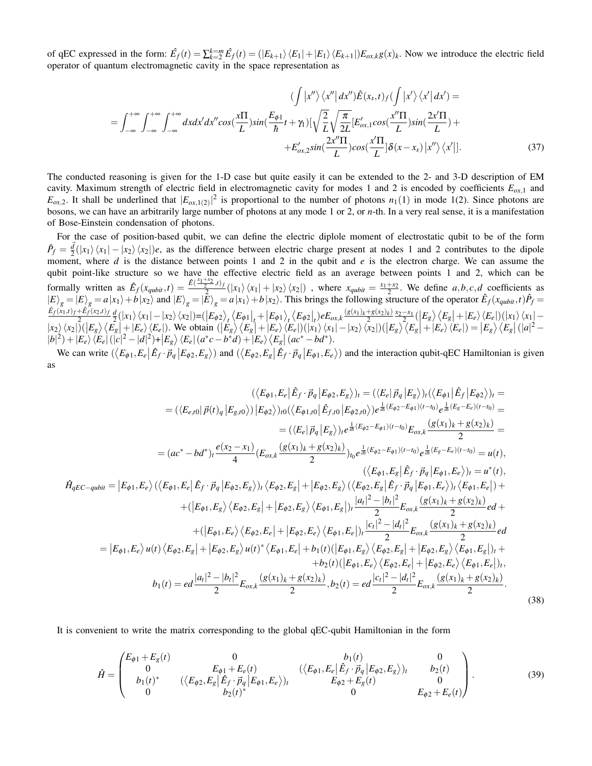of qEC expressed in the form:  $\hat{E}_f(t) = \sum_{k=2}^{k=m} \hat{E}_f(t) = (|E_{k+1}\rangle \langle E_1| + |E_1\rangle \langle E_{k+1}|) E_{\alpha x,k} g(x)_{k}$ . Now we introduce the electric field operator of quantum electromagnetic cavity in the space representation as

$$
\left(\int \left| x'' \right\rangle \langle x'' \left| dx'' \right\rangle \hat{E}(x_s, t) f\left( \int \left| x' \right\rangle \langle x' \left| dx' \right\rangle \right) =
$$
\n
$$
= \int_{-\infty}^{+\infty} \int_{-\infty}^{+\infty} \int_{-\infty}^{+\infty} dx dx' dx'' \cos(\frac{x \Pi}{L}) \sin(\frac{E_{\phi 1}}{\hbar} t + \gamma_1) [\sqrt{\frac{2}{L}} \sqrt{\frac{\pi}{2L}} [E'_{\alpha x, 1} \cos(\frac{x'' \Pi}{L}) \sin(\frac{2x' \Pi}{L}) + E'_{\alpha x, 2} \sin(\frac{2x'' \Pi}{L}) \cos(\frac{x' \Pi}{L}) \delta(x - x_s) |x''\rangle \langle x'|].
$$
\n(37)

The conducted reasoning is given for the 1-D case but quite easily it can be extended to the 2- and 3-D description of EM cavity. Maximum strength of electric field in electromagnetic cavity for modes 1 and 2 is encoded by coefficients *Eox*,<sup>1</sup> and  $E_{\alpha x,2}$ . It shall be underlined that  $|E_{\alpha x,1(2)}|^2$  is proportional to the number of photons *n*<sub>1</sub>(1)</sub> in mode 1(2). Since photons are bosons, we can have an arbitrarily large number of photons at any mode 1 or 2, or *n*-th. In a very real sense, it is a manifestation of Bose-Einstein condensation of photons.

For the case of position-based qubit, we can define the electric diplole moment of electrostatic qubit to be of the form  $\hat{P}_f = \frac{d}{2}(|x_1\rangle\langle x_1| - |x_2\rangle\langle x_2|)e$ , as the difference between electric charge present at nodes 1 and 2 contributes to the dipole moment, where *d* is the distance between points 1 and 2 in the qubit and *e* is the electron charge. We can assume the qubit point-like structure so we have the effective electric field as an average between points 1 and 2, which can be formally written as  $\hat{E}_f(x_{qubit}, t) = \frac{\hat{E}(\frac{x_1+x_2}{2}, t)}{2}$  $\frac{x_1}{2}$ ,  $f(x_1)$ ,  $\langle x_1 | + |x_2 \rangle \langle x_2 |$ , where  $x_{qubit} = \frac{x_1 + x_2}{2}$ . We define *a*,*b*, *c*,*d* coefficients as  $\ket{E}_g = \ket{E}_g = a\ket{x_1} + b\ket{x_2}$  and  $\ket{E}_g = \ket{\tilde{E}}_g = a\ket{x_1} + b\ket{x_2}$ . This brings the following structure of the operator  $\hat{E}_f(x_{qubit},t)\hat{P}_f =$  $\hat{E}_f(x_1,t)_f + \hat{E}_f(x_2,t)_f$  $\frac{+E_f(x_2,t)_f}{2} \frac{d}{dx}(|x_1\rangle\langle x_1|-|x_2\rangle\langle x_2|) = (E_{\phi_2})_t \langle E_{\phi_1}|_t + |E_{\phi_1}\rangle_t \langle E_{\phi_2}|_t) eE_{\phi_3,k} \frac{(g(x_1)_k+g(x_2)_k)}{2}$  $\frac{\left|g(x)_{k}\right\rangle}{2} \times 1 - \frac{\left|f(x)_{k}\right|}{2} \times \left|E_{g}\right| + \left|E_{e}\right\rangle \left\langle E_{e}\right| \right) \left(\left|x_{1}\right\rangle \left\langle x_{1}\right| - \left|E_{e}\right| \right)$  $|x_2\rangle\langle x_2| \tilde{\psi}(E_g) \langle E_g| + |E_e\rangle\langle E_e|)$ . We obtain  $(|E_g\rangle\langle E_g| + |E_e\rangle\langle E_e|)(|x_1\rangle\langle x_1| - |x_2\rangle\langle x_2|)(|E_g\rangle\langle E_g| + |E_e\rangle\langle E_e|) = |E_g\rangle\langle E_g|(|a|^2 - |a|^2)\langle x_1| \langle x_2| \rangle\langle x_1| + |x_2\rangle\langle x_2| \langle x_2| \rangle\langle x_2|)$  $|b|^2 + |E_e\rangle \langle E_e| (|c|^2 - |d|^2) + |E_g\rangle \langle E_e| (a^*c - b^*d) + |E_e\rangle \langle E_g| (ac^* - bd^*).$ 

We can write  $(\langle E_{\phi 1}, E_e | \hat{E}_f \cdot \vec{p}_q | E_{\phi 2}, E_g \rangle)$  and  $(\langle E_{\phi 2}, E_g | \hat{E}_f \cdot \vec{p}_q | E_{\phi 1}, E_e \rangle)$  and the interaction qubit-qEC Hamiltonian is given as

<span id="page-13-0"></span>
$$
\langle\langle E_{\phi1}, E_{e} | \hat{E}_{f} \cdot \vec{p}_{q} | E_{\phi2}, E_{g} \rangle\rangle_{t} = \langle\langle E_{e} | \vec{p}_{q} | E_{g} \rangle\rangle_{t} \langle\langle E_{\phi1} | \hat{E}_{f} | E_{\phi2} \rangle\rangle_{t} =
$$
\n
$$
= (\langle E_{e,10} | \vec{p}(t)_{q} | E_{g,10} \rangle) | E_{\phi2} \rangle)_{t0} (\langle E_{\phi1,10} | \hat{E}_{f,10} | E_{\phi2,10} \rangle) e^{\frac{1}{2}(\mathcal{E}_{\phi2} - \mathcal{E}_{\phi1})(t - t_{0})} e^{\frac{1}{2}(\mathcal{E}_{\phi2} - \mathcal{E}_{\phi1})(t - t_{0})} =
$$
\n
$$
= (\langle E_{e} | \vec{p}_{q} | E_{g} \rangle)_{t} e^{\frac{1}{2}(\mathcal{E}_{\phi2} - \mathcal{E}_{\phi1})(t - t_{0})} e^{\frac{1}{2}(\mathcal{E}_{\phi2} - \mathcal{E}_{\phi1})(t - t_{0})} e^{\frac{1}{2}(\mathcal{E}_{\phi2} - \mathcal{E}_{\phi1})(t - t_{0})} =
$$
\n
$$
= (\alpha c^{*} - bd^{*})_{t} \frac{e(\chi_{2} - \chi_{1})}{4} (\mathcal{E}_{\sigma\chi} \frac{(g(\chi_{1})_{k} + g(\chi_{2})_{k})}{2})_{t_{0}} e^{\frac{1}{2}(\mathcal{E}_{\phi2} - \mathcal{E}_{\phi1})(t - t_{0})} e^{\frac{1}{2}(\mathcal{E}_{g2} - \mathcal{E}_{\phi1})(t - t_{0})} = u(t),
$$
\n
$$
\langle\langle E_{\phi1}, E_{g} | \hat{E}_{f} \cdot \vec{p}_{q} | E_{\phi1}, E_{e} \rangle\rangle_{t} \langle E_{\phi1}, E_{e} | E_{f} \cdot \vec{p}_{q} | E_{\phi1}, E_{e} \rangle\rangle_{t} = u^{*}(t),
$$
\n
$$
+ (\langle E_{\phi1}, E_{g} \rangle \langle E_{\phi2}, E_{g} | + |E_{\phi2}, E_{g} \rangle \langle E_{\phi1}, E_{g} |
$$

It is convenient to write the matrix corresponding to the global qEC-qubit Hamiltonian in the form

*H*ˆ

$$
\hat{H} = \begin{pmatrix}\nE_{\phi 1} + E_g(t) & 0 & b_1(t) & 0 \\
0 & E_{\phi 1} + E_e(t) & (\langle E_{\phi 2}, E_g | \hat{E}_f \cdot \vec{p}_q | E_{\phi 1}, E_e \rangle)_t & 0 \\
b_1(t)^* & (\langle E_{\phi 2}, E_g | \hat{E}_f \cdot \vec{p}_q | E_{\phi 1}, E_e \rangle)_t & E_{\phi 2} + E_g(t) & 0 \\
0 & b_2(t)^* & 0 & E_{\phi 2} + E_e(t)\n\end{pmatrix}.
$$
\n(39)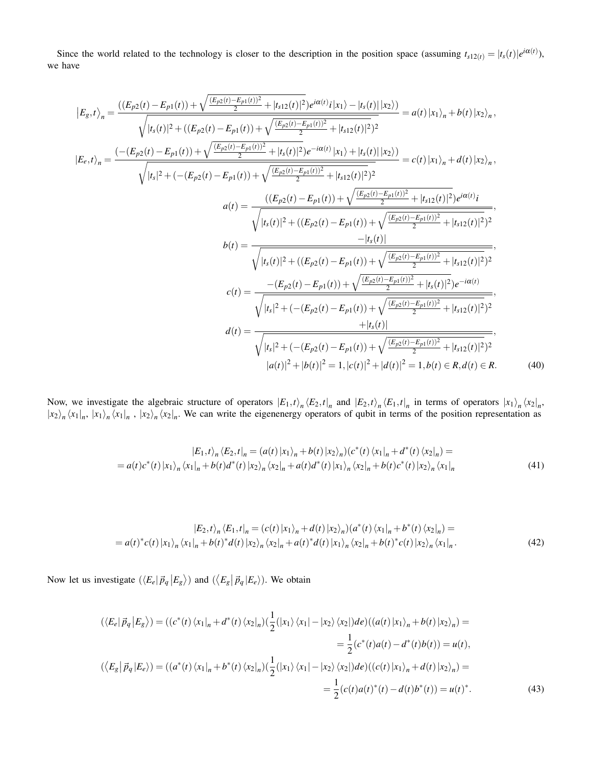Since the world related to the technology is closer to the description in the position space (assuming  $t_{s12(t)} = |t_s(t)|e^{i\alpha(t)}$ ), we have

$$
|E_{g,t}\rangle_{n} = \frac{((E_{p2}(t) - E_{p1}(t)) + \sqrt{\frac{(E_{p2}(t) - E_{p1}(t))^{2}}{2} + |t_{s12}(t)|^{2})}e^{i\alpha(t)}i|x_{1}\rangle - |t_{s}(t)||x_{2}\rangle)}{\sqrt{|t_{s}(t)|^{2} + ((E_{p2}(t) - E_{p1}(t)) + \sqrt{\frac{(E_{p2}(t) - E_{p1}(t))^{2}}{2} + |t_{s12}(t)|^{2})^{2}}} = a(t)|x_{1}\rangle_{n} + b(t)|x_{2}\rangle_{n},
$$
  
\n
$$
|E_{e,t}\rangle_{n} = \frac{(-(E_{p2}(t) - E_{p1}(t)) + \sqrt{\frac{(E_{p2}(t) - E_{p1}(t))^{2}}{2} + |t_{s}(t)|^{2})}e^{-i\alpha(t)}|x_{1}\rangle + |t_{s}(t)||x_{2}\rangle)}{\sqrt{|t_{s}|^{2} + (-(E_{p2}(t) - E_{p1}(t)) + \sqrt{\frac{(E_{p2}(t) - E_{p1}(t))^{2}}{2} + |t_{s12}(t)|^{2})^{2}}} = c(t)|x_{1}\rangle_{n} + d(t)|x_{2}\rangle_{n},
$$
  
\n
$$
a(t) = \frac{((E_{p2}(t) - E_{p1}(t)) + \sqrt{\frac{(E_{p2}(t) - E_{p1}(t))^{2}}{2} + |t_{s12}(t)|^{2})}e^{i\alpha(t)}i}{\sqrt{|t_{s}(t)|^{2} + ((E_{p2}(t) - E_{p1}(t)) + \sqrt{\frac{(E_{p2}(t) - E_{p1}(t))^{2}}{2} + |t_{s12}(t)|^{2})^{2}}}},
$$
  
\n
$$
b(t) = \frac{-|t_{s}(t)|}{\sqrt{|t_{s}(t)|^{2} + ((E_{p2}(t) - E_{p1}(t)) + \sqrt{\frac{(E_{p2}(t) - E_{p1}(t))^{2}}{2} + |t_{s12}(t)|^{2})^{2}}},
$$
  
\n
$$
c(t) = \frac{-(E_{p2}(t) - E_{p1}(t)) + \sqrt{\frac{(E_{p2}(t) - E_{p1}(t))^{2}}{2} + |t_{s12}(t)|^{2})}e^{-i\alpha(t)}}{\sqrt{|t_{s}|^{2} + (-(E_{p2}(t) -
$$

Now, we investigate the algebraic structure of operators  $|E_1,t\rangle_n \langle E_2,t|_n$  and  $|E_2,t\rangle_n \langle E_1,t|_n$  in terms of operators  $|x_1\rangle_n \langle x_2|_n$ ,  $|x_2\rangle_n \langle x_1|_n, |x_1\rangle_n \langle x_1|_n, |x_2\rangle_n \langle x_2|_n$ . We can write the eigenenergy operators of qubit in terms of the position representation as

$$
|E_1,t\rangle_n \langle E_2,t|_n = (a(t)|x_1\rangle_n + b(t)|x_2\rangle_n)(c^*(t)\langle x_1|_n + d^*(t)\langle x_2|_n) =
$$
  
=  $a(t)c^*(t)|x_1\rangle_n \langle x_1|_n + b(t)d^*(t)|x_2\rangle_n \langle x_2|_n + a(t)d^*(t)|x_1\rangle_n \langle x_2|_n + b(t)c^*(t)|x_2\rangle_n \langle x_1|_n$  (41)

$$
|E_2,t\rangle_n \langle E_1,t|_n = (c(t)|x_1\rangle_n + d(t)|x_2\rangle_n)(a^*(t)\langle x_1|_n + b^*(t)\langle x_2|_n) =
$$
  
=  $a(t)^*c(t)|x_1\rangle_n \langle x_1|_n + b(t)^*d(t)|x_2\rangle_n \langle x_2|_n + a(t)^*d(t)|x_1\rangle_n \langle x_2|_n + b(t)^*c(t)|x_2\rangle_n \langle x_1|_n.$  (42)

Now let us investigate  $(\langle E_e | \vec{p}_q | E_g \rangle)$  and  $(\langle E_g | \vec{p}_q | E_e \rangle)$ . We obtain

$$
(\langle E_e | \vec{p}_q | E_g \rangle) = ((c^*(t) \langle x_1|_n + d^*(t) \langle x_2|_n) (\frac{1}{2} (|x_1\rangle \langle x_1| - |x_2\rangle \langle x_2|) de)((a(t) |x_1\rangle_n + b(t) |x_2\rangle_n) =
$$
  
\n
$$
= \frac{1}{2} (c^*(t) a(t) - d^*(t) b(t)) = u(t),
$$
  
\n
$$
(\langle E_g | \vec{p}_q | E_e \rangle) = ((a^*(t) \langle x_1|_n + b^*(t) \langle x_2|_n) (\frac{1}{2} (|x_1\rangle \langle x_1| - |x_2\rangle \langle x_2|) de)((c(t) |x_1\rangle_n + d(t) |x_2\rangle_n) =
$$
  
\n
$$
= \frac{1}{2} (c(t) a(t)^*(t) - d(t) b^*(t)) = u(t)^*.
$$
\n(43)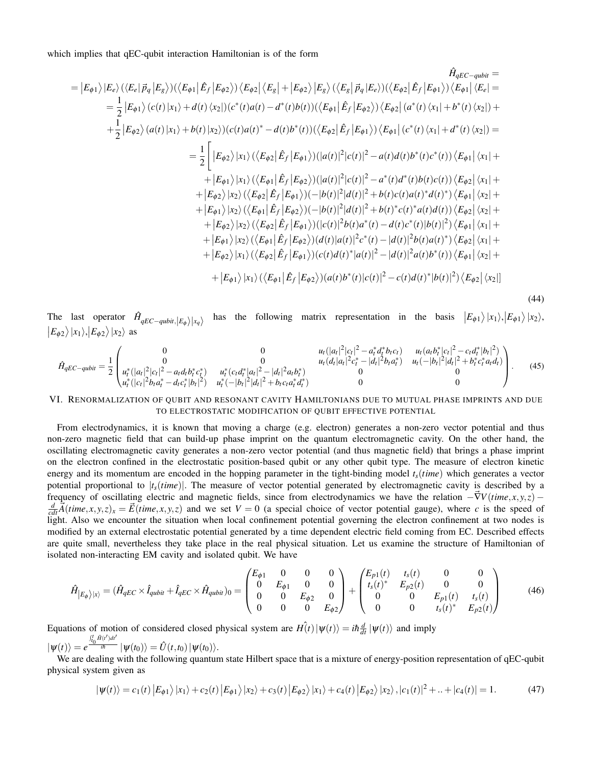which implies that qEC-qubit interaction Hamiltonian is of the form

$$
=|E_{\phi1}\rangle|E_{e}\rangle(\langle E_{e}|\vec{p}_{q}|E_{g}\rangle)(\langle E_{\phi1}|\hat{E}_{f}|E_{\phi2}\rangle)\langle E_{\phi2}|\langle E_{g}|+|E_{\phi2}\rangle|E_{g}\rangle(\langle E_{g}|\vec{p}_{q}|E_{e}))(\langle E_{\phi2}|\hat{E}_{f}|E_{\phi1}\rangle)\langle E_{\phi1}|\langle E_{e}|=
$$
\n
$$
=\frac{1}{2}|E_{\phi1}\rangle(c(t)|x_{1}\rangle+d(t)\langle x_{2}|)(c^{*}(t)a(t)-d^{*}(t)b(t))(\langle E_{\phi1}|\hat{E}_{f}|E_{\phi2}\rangle)\langle E_{\phi2}|\langle a^{*}(t)\langle x_{1}|+b^{*}(t)\langle x_{2}|\rangle+\n+\frac{1}{2}|E_{\phi2}\rangle(a(t)|x_{1}\rangle+b(t)|x_{2}\rangle)(c(t)a(t)^{*}-d(t)b^{*}(t))(\langle E_{\phi2}|\hat{E}_{f}|E_{\phi1}\rangle)\langle E_{\phi1}|\langle c^{*}(t)\langle x_{1}|+d^{*}(t)\langle x_{2}|\rangle)=
$$
\n
$$
=\frac{1}{2}\left[|E_{\phi2}\rangle|x_{1}\rangle(\langle E_{\phi2}|\hat{E}_{f}|E_{\phi1}\rangle)(|a(t)|^{2}|c(t)|^{2}-a(t)d(t)b^{*}(t)c^{*}(t))\langle E_{\phi1}|\langle x_{1}|+\n+|E_{\phi1}\rangle|x_{1}\rangle(\langle E_{\phi1}|\hat{E}_{f}|E_{\phi2}\rangle)(|a(t)|^{2}|c(t)|^{2}-a^{*}(t)d^{*}(t)b(t)c(t))\langle E_{\phi2}|\langle x_{1}|+\n+|E_{\phi2}\rangle|x_{2}\rangle(\langle E_{\phi2}|\hat{E}_{f}|E_{\phi1}\rangle)(-|b(t)|^{2}|d(t)|^{2}+b(t)c(t)a(t)^{*}d(t)^{*})\langle E_{\phi1}|\langle x_{2}|+\n+|E_{\phi1}\rangle|x_{2}\rangle(\langle E_{\phi1}|\hat{E}_{f}|E_{\phi2}\rangle)(-|b(t)|^{2}|d(t)|^{2}+b(t)^{*}c(t)^{*}a(t)d(t))\langle E_{\phi2}|\langle x_{1}|+\n+|E_{\phi2}\rangle|x_{2}\rangle(\langle E_{\phi1}|\hat{E}_{f}|E_{\phi2}\rangle)(d(t
$$

(44)

The last operator  $\hat{H}_{qEC-qubit,|E_{\phi}\rangle|x_q\rangle}$ has the following matrix representation in the basis  $|E_{\phi 1}\rangle |x_1\rangle, |E_{\phi 1}\rangle |x_2\rangle$ ,  $|E_{\phi 2}\rangle |x_1\rangle, |E_{\phi 2}\rangle |x_2\rangle$  as

$$
\hat{H}_{qEC-qubit} = \frac{1}{2} \begin{pmatrix}\n0 & 0 & u_t(|a_t|^2|c_t|^2 - a_t^* d_t^* b_t c_t) & u_t(a_t b_t^* |c_t|^2 - c_t d_t^* |b_t|^2) \\
0 & 0 & u_t(d_t|a_t|^2 c_t^* - |d_t|^2 b_t a_t^*) & u_t(-|b_t|^2 |d_t|^2 + b_t^* c_t^* a_t d_t) \\
u_t^* (|a_t|^2 |c_t|^2 - a_t d_t b_t^* c_t^*) & u_t^* (c_t d_t^* |a_t|^2 - |d_t|^2 a_t b_t^*) & 0 & 0 \\
u_t^* (|c_t|^2 b_t a_t^* - d_t c_t^* |b_t|^2) & u_t^* (-|b_t|^2 |d_t|^2 + b_t c_t a_t^* d_t^*) & 0 & 0\n\end{pmatrix}.
$$
\n(45)

# VI. RENORMALIZATION OF QUBIT AND RESONANT CAVITY HAMILTONIANS DUE TO MUTUAL PHASE IMPRINTS AND DUE TO ELECTROSTATIC MODIFICATION OF QUBIT EFFECTIVE POTENTIAL

From electrodynamics, it is known that moving a charge (e.g. electron) generates a non-zero vector potential and thus non-zero magnetic field that can build-up phase imprint on the quantum electromagnetic cavity. On the other hand, the oscillating electromagnetic cavity generates a non-zero vector potential (and thus magnetic field) that brings a phase imprint on the electron confined in the electrostatic position-based qubit or any other qubit type. The measure of electron kinetic energy and its momentum are encoded in the hopping parameter in the tight-binding model  $t_s$ (*time*) which generates a vector potential proportional to  $|t_s(time)|$ . The measure of vector potential generated by electromagnetic cavity is described by a frequency of oscillating electric and magnetic fields, since from electrodynamics we have the relation  $-\vec{\nabla}V(time, x, y, z)$  –  $\frac{d}{cdt}\overrightarrow{A}(time, x, y, z)_x = \overrightarrow{E}(time, x, y, z)$  and we set  $V = 0$  (a special choice of vector potential gauge), where c is the speed of light. Also we encounter the situation when local confinement potential governing the electron confinement at two nodes is modified by an external electrostatic potential generated by a time dependent electric field coming from EC. Described effects are quite small, nevertheless they take place in the real physical situation. Let us examine the structure of Hamiltonian of isolated non-interacting EM cavity and isolated qubit. We have

$$
\hat{H}_{|E_{\phi}\rangle|x\rangle} = (\hat{H}_{qEC} \times \hat{I}_{qubit} + \hat{I}_{qEC} \times \hat{H}_{qubit})_0 = \begin{pmatrix} E_{\phi 1} & 0 & 0 & 0 \\ 0 & E_{\phi 1} & 0 & 0 \\ 0 & 0 & E_{\phi 2} & 0 \\ 0 & 0 & 0 & E_{\phi 2} \end{pmatrix} + \begin{pmatrix} E_{p1}(t) & t_s(t) & 0 & 0 \\ t_s(t)^* & E_{p2}(t) & 0 & 0 \\ 0 & 0 & E_{p1}(t) & t_s(t) \\ 0 & 0 & t_s(t)^* & E_{p2}(t) \end{pmatrix}
$$
(46)

Equations of motion of considered closed physical system are  $H(t) | \psi(t) \rangle = i \hbar \frac{d}{dt} | \psi(t) \rangle$  and imply  $|\psi(t)\rangle = e^{\int_{t_0}^{t} \hat{H}(t')dt'} |\psi(t_0)\rangle = \hat{U}(t,t_0)|\psi(t_0)\rangle.$ 

We are dealing with the following quantum state Hilbert space that is a mixture of energy-position representation of qEC-qubit physical system given as

$$
|\psi(t)\rangle = c_1(t) |E_{\phi 1}\rangle |x_1\rangle + c_2(t) |E_{\phi 1}\rangle |x_2\rangle + c_3(t) |E_{\phi 2}\rangle |x_1\rangle + c_4(t) |E_{\phi 2}\rangle |x_2\rangle, |c_1(t)|^2 + ... + |c_4(t)| = 1.
$$
 (47)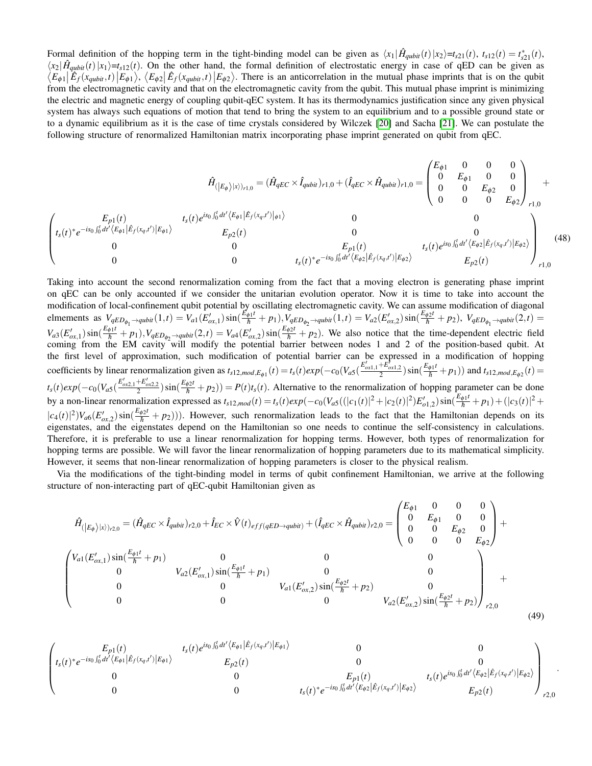Formal definition of the hopping term in the tight-binding model can be given as  $\langle x_1 | \hat{H}_{qubit}(t) | x_2 \rangle = t_{s21}(t)$ ,  $t_{s12}(t) = t_{s21}^*(t)$ ,  $\langle x_2| \hat{H}_{qubit}(t) | x_1 \rangle = t_{s12}(t)$ . On the other hand, the formal definition of electrostatic energy in case of qED can be given as  $\langle E_{\phi 1} | \hat{E}_f(x_{qubit}, t) | E_{\phi 1} \rangle$ ,  $\langle E_{\phi 2} | \hat{E}_f(x_{qubit}, t) | E_{\phi 2} \rangle$ . There is an anticorrelation in the mutual phase imprints that is on the qubit from the electromagnetic cavity and that on the electromagnetic cavity from the qubit. This mutual phase imprint is minimizing the electric and magnetic energy of coupling qubit-qEC system. It has its thermodynamics justification since any given physical system has always such equations of motion that tend to bring the system to an equilibrium and to a possible ground state or to a dynamic equilibrium as it is the case of time crystals considered by Wilczek [\[20\]](#page-19-10) and Sacha [\[21\]](#page-19-11). We can postulate the following structure of renormalized Hamiltonian matrix incorporating phase imprint generated on qubit from qEC.

$$
\hat{H}_{(|E_{\phi}\rangle|x\rangle)_{r1,0}} = (\hat{H}_{qEC} \times \hat{I}_{qubit})_{r1,0} + (\hat{I}_{qEC} \times \hat{H}_{qubit})_{r1,0} = \begin{pmatrix} E_{\phi 1} & 0 & 0 & 0 \\ 0 & E_{\phi 1} & 0 & 0 \\ 0 & 0 & E_{\phi 2} & 0 \\ 0 & 0 & 0 & E_{\phi 2} \end{pmatrix}_{r1,0} + \begin{pmatrix} E_{\phi 1} & 0 & 0 & 0 \\ 0 & E_{\phi 1} & 0 & 0 \\ 0 & 0 & 0 & E_{\phi 2} \end{pmatrix}_{r1,0} + \begin{pmatrix} E_{\phi 1} & 0 & 0 & 0 \\ 0 & E_{\phi 1} & 0 & 0 \\ 0 & 0 & 0 & E_{\phi 2} \end{pmatrix}_{r1,0} + \begin{pmatrix} E_{\phi 1} & 0 & 0 & 0 \\ 0 & E_{\phi 1} & 0 & 0 \\ 0 & 0 & 0 & E_{\phi 2} \end{pmatrix}_{r1,0} + \begin{pmatrix} E_{\phi 1} & 0 & 0 & 0 \\ 0 & E_{\phi 1} & 0 & 0 \\ 0 & 0 & 0 & E_{\phi 2} \end{pmatrix}_{r1,0} + \begin{pmatrix} E_{\phi 1} & 0 & 0 & 0 \\ 0 & E_{\phi 1} & 0 & 0 \\ 0 & 0 & 0 & E_{\phi 2} \end{pmatrix}_{r1,0} + \begin{pmatrix} E_{\phi 1} & 0 & 0 & 0 \\ 0 & 0 & E_{\phi 2} & 0 \\ 0 & 0 & 0 & E_{\phi 2} \end{pmatrix}_{r1,0} + \begin{pmatrix} E_{\phi 1} & 0 & 0 & 0 \\ 0 & 0 & E_{\phi 2} & 0 \\ 0 & 0 & 0 & E_{\phi 2} \end{pmatrix}_{r1,0} + \begin{pmatrix} E_{\phi 1} & 0 & 0 & 0 \\ 0 & 0 & E_{\phi 2} & 0 \\ 0 & 0 & 0 & E_{\phi 2} \end{pmatrix}_{r1,0} + \begin{pmatrix} E_{\phi 1} & 0 & 0 & 0 \\ 0 & 0 & E_{\phi 2} & 0 \\ 0 & 0 & 0 & E_{\phi 2} \end
$$

Taking into account the second renormalization coming from the fact that a moving electron is generating phase imprint on qEC can be only accounted if we consider the unitarian evolution operator. Now it is time to take into account the modification of local-confinement qubit potential by oscillating electromagnetic cavity. We can assume modification of diagonal elmements as  $V_{qED_{\phi_1} \to qubit}(1,t) = V_{a1}(E'_{\alpha x,1}) \sin(\frac{E_{\phi1}t}{\hbar} + p_1), V_{qED_{\phi_2} \to qubit}(1,t) = V_{a2}(E'_{\alpha x,2}) \sin(\frac{E_{\phi2}t}{\hbar} + p_2), V_{qED_{\phi_1} \to qubit}(2,t) =$  $V_{a3}(E'_{\alpha x,1})\sin(\frac{E_{\phi1}t}{\hbar}+p_1), V_{qED_{\phi_2}\rightarrow qubit}(2,t) = V_{a4}(E'_{\alpha x,2})\sin(\frac{E_{\phi2}t}{\hbar}+p_2)$ . We also notice that the time-dependent electric field coming from the EM cavity will modify the potential barrier between nodes 1 and 2 of the position-based qubit. At the first level of approximation, such modification of potential barrier can be expressed in a modification of hopping coefficients by linear renormalization given as  $t_{s12,mod,E_{\phi 1}}(t) = t_s(t)exp(-c_0(V_{a5}(\frac{E'_{\phi x1,1} + E'_{\phi x1,2}}{2})sin(\frac{E_{\phi 1}t}{\hbar} + p_1))$  and  $t_{s12,mod,E_{\phi 2}}(t)$  $t_s(t)exp(-c_0(V_{a5}(\frac{E'_{ox2,1}+E'_{ox2,2}}{2}))sin(\frac{E_{\phi2}t}{\hbar}+p_2)) = P(t)t_s(t)$ . Alternative to the renormalization of hopping parameter can be done by a non-linear renormalization expressed as  $t_{s12,mod}(t) = t_s(t)exp(-c_0(V_{a5}((|c_1(t)|^2 + |c_2(t)|^2))E'_{a1,2})sin(\frac{E_{\phi1}t}{\hbar} + p_1) + (|c_3(t)|^2 +$  $|c_4(t)|^2 V_{\alpha 6}(E'_{\alpha x,2}) \sin(\frac{E_{\phi 2}t}{\hbar}+p_2)$ ). However, such renormalization leads to the fact that the Hamiltonian depends on its eigenstates, and the eigenstates depend on the Hamiltonian so one needs to continue the self-consistency in calculations. Therefore, it is preferable to use a linear renormalization for hopping terms. However, both types of renormalization for hopping terms are possible. We will favor the linear renormalization of hopping parameters due to its mathematical simplicity. However, it seems that non-linear renormalization of hopping parameters is closer to the physical realism.

Via the modifications of the tight-binding model in terms of qubit confinement Hamiltonian, we arrive at the following structure of non-interacting part of qEC-qubit Hamiltonian given as

$$
\hat{H}_{(|E_{\phi}\rangle|x\rangle)_{r2,0}} = (\hat{H}_{qEC} \times \hat{I}_{qubit})_{r2,0} + \hat{I}_{EC} \times \hat{V}(t)_{eff(qED \to qubit)} + (\hat{I}_{qEC} \times \hat{H}_{qubit})_{r2,0} = \begin{pmatrix} E_{\phi1} & 0 & 0 & 0 \\ 0 & E_{\phi1} & 0 & 0 \\ 0 & 0 & E_{\phi2} & 0 \\ 0 & 0 & 0 & E_{\phi2} \end{pmatrix} + \left(\hat{I}_{qEC} \times \hat{I}_{qubit} + p_{1}\right) \begin{pmatrix} V_{a1}(E'_{ox,1})\sin(\frac{E_{\phi1}t}{\hbar} + p_{1}) & 0 & 0 \\ 0 & V_{a2}(E'_{ox,1})\sin(\frac{E_{\phi1}t}{\hbar} + p_{1}) & 0 & 0 \\ 0 & 0 & V_{a1}(E'_{ox,2})\sin(\frac{E_{\phi2}t}{\hbar} + p_{2}) & 0 \\ 0 & 0 & 0 & V_{a2}(E'_{ox,2})\sin(\frac{E_{\phi2}t}{\hbar} + p_{2}) \end{pmatrix}_{r2,0} + (49)
$$

$$
\begin{pmatrix}\nE_{p1}(t) & t_s(t)e^{is_0\int_0^t dt'\langle E_{\phi 1}| \hat{E}_f(x_q,t')|E_{\phi 1}\rangle} & 0 & 0 \\
t_s(t)^*e^{-is_0\int_0^t dt'\langle E_{\phi 1}| \hat{E}_f(x_q,t')|E_{\phi 1}\rangle} & 0 & 0 \\
0 & 0 & E_{p2}(t) & 0 \\
0 & 0 & t_s(t)^*e^{-is_0\int_0^t dt'\langle E_{\phi 2}| \hat{E}_f(x_q,t')|E_{\phi 2}\rangle} & E_{p2}(t) \\
0 & 0 & t_s(t)e^{is_0\int_0^t dt'\langle E_{\phi 2}| \hat{E}_f(x_q,t')|E_{\phi 2}\rangle} & E_{p2}(t)\n\end{pmatrix}_{r2,0}
$$

.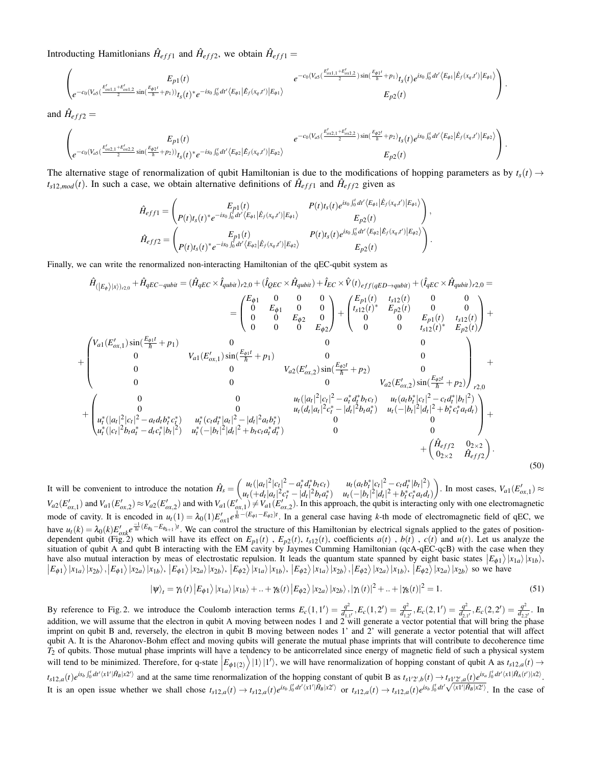Introducting Hamitlonians  $\hat{H}_{eff1}$  and  $\hat{H}_{eff2}$ , we obtain  $\hat{H}_{eff1}$  =

$$
\left(\begin{matrix}E_{p1}(t) & e^{-c_0(V_{a5}(\frac{E'_{a1,1}+E'_{a1,2}}{h}+p_1)}t_{5}(t)e^{is_0\int_a^t dt'\langle E_{\phi 1}|}\hat{E}_f(x_q,t')|E_{\phi 1}\rangle\\ e^{-c_0(V_{a5}(\frac{E'_{a1,1}+E'_{a1,2}}{h}+p_1)}t_{5}(t)e^{is_0\int_a^t dt'\langle E_{\phi 1}|}\hat{E}_f(x_q,t')|E_{\phi 1}\rangle\\ E_{p2}(t)\end{matrix}\right).
$$

and  $\hat{H}_{eff2}$  =

$$
\left(\begin{matrix}E_{p1}(t) & e^{-c_0(V_{a5}(\frac{E'_{a2,1}+E'_{a2,2}}{h}+\rho_2))}E_{p1}(t) & e^{-c_0(V_{a5}(\frac{E'_{a2,1}+E'_{a2,2}}{h}+\rho_2))}E_{p2}(t)e^{is_0\int_{0}^{t}dt'\langle E_{\phi 2}|\hat{E}_{f}(x_q,t')|E_{\phi 2}\rangle} \\ e^{-c_0(V_{a5}(\frac{E'_{a2,1}+E'_{a2,2}}{h}+\rho_2))}E_{p2}(t) & E_{p2}(t)\end{matrix}\right).
$$

The alternative stage of renormalization of qubit Hamiltonian is due to the modifications of hopping parameters as by  $t_s(t) \rightarrow$  $t_{s12,mod}(t)$ . In such a case, we obtain alternative definitions of  $\hat{H}_{eff1}$  and  $\hat{H}_{eff2}$  given as

$$
\hat{H}_{eff1} = \begin{pmatrix} E_{p1}(t) & P(t)t_s(t)e^{is_0\int_0^t dt'\langle E_{\phi 1}|\hat{E}_f(x_q,t')|E_{\phi 1}\rangle} \\ P(t)t_s(t)e^{is_0\int_0^t dt'\langle E_{\phi 1}|\hat{E}_f(x_q,t')|E_{\phi 1}\rangle} & E_{p2}(t) \end{pmatrix},
$$
\n
$$
\hat{H}_{eff2} = \begin{pmatrix} E_{p1}(t) & P(t)t_s(t)e^{is_0\int_0^t dt'\langle E_{\phi 2}|\hat{E}_f(x_q,t')|E_{\phi 2}\rangle} \\ P(t)t_s(t)e^{is_0\int_0^t dt'\langle E_{\phi 2}|\hat{E}_f(x_q,t')|E_{\phi 2}\rangle} & E_{p2}(t) \end{pmatrix}.
$$

Finally, we can write the renormalized non-interacting Hamiltonian of the qEC-qubit system as

$$
\hat{H}_{(|E_{\phi}\rangle|x\rangle)_{r2,0}} + \hat{H}_{qEC-qubit} = (\hat{H}_{qEC} \times \hat{I}_{qubit})_{r2,0} + (\hat{I}_{QEC} \times \hat{H}_{qubit}) + \hat{I}_{EC} \times \hat{V}(t)_{eff(qED-qubit}) + (\hat{I}_{qEC} \times \hat{H}_{qubit})_{r2,0} =
$$
\n
$$
= \begin{pmatrix}\nE_{\phi 1} & 0 & 0 & 0 \\
0 & E_{\phi 1} & 0 & 0 \\
0 & 0 & E_{\phi 2} & 0 \\
0 & 0 & 0 & E_{\phi 2}\n\end{pmatrix} + \begin{pmatrix}\nE_{p1}(t) & t_{s12}(t) & 0 & 0 \\
t_{s12}(t)^* & E_{p2}(t) & 0 & 0 \\
0 & 0 & E_{p1}(t) & t_{s12}(t) \\
0 & 0 & 0 & E_{p1}(t) & t_{s12}(t) \\
0 & 0 & 0 & 0 & E_{p2}(t)\n\end{pmatrix} +
$$
\n
$$
+ \begin{pmatrix}\nV_{a1}(E'_{\alpha x,1})\sin(\frac{E_{\phi 1}t}{\hbar} + p_{1}) & 0 & 0 \\
0 & 0 & V_{a2}(E'_{\alpha x,2})\sin(\frac{E_{\phi 2}t}{\hbar} + p_{2}) & 0 \\
0 & 0 & V_{a2}(E'_{\alpha x,2})\sin(\frac{E_{\phi 2}t}{\hbar} + p_{2}) & 0 \\
0 & 0 & V_{a2}(E'_{\alpha x,2})\sin(\frac{E_{\phi 2}t}{\hbar} + p_{2})\n\end{pmatrix}_{r2,0} + \begin{pmatrix}\n0 & 0 & 0 \\
u_{t}(|a_{t}|^{2}|c_{t}|^{2} - a_{t}d_{t}^{*}b_{t}c_{t}) & u_{t}(a_{t}b_{t}^{*}|c_{t}|^{2} - c_{t}d_{t}^{*}|b_{t}|^{2}) \\
0 & 0 & V_{a2}(E'_{\alpha x,2})\sin(\frac{E_{\phi 2}t}{\hbar} + p_{2}) & 0 \\
u_{t}(|a_{t}|^{2}|c_{t}|^{2} - a_{t}d_{t}^{*}|b_{t}|^{2}) & u_{t}(d_{t}|a_{t}|^{2}c_{t}^{*} - |
$$

It will be convenient to introduce the notation  $\hat{H}_s = \begin{pmatrix} u_t(|a_t|^2|c_t|^2 - a_t^*d_t^*bc_t) & u_t(a_t b_t^*|c_t|^2 - c_t d_t^*|b_t|^2) \\ u(t,d|x|^2 + d_t^*d_t^*bc_t & u(t,h)^2d_t^*d_t^*d_t^* \end{pmatrix}$  $u_t( + d_t |a_t|^2 c_t^* - |d_t|^2 b_t a_t^*)$   $u_t( - |b_t|^2 |d_t|^2 + b_t^* c_t^* a_t d_t)$ ). In most cases,  $V_{a1}(E'_{ox,1}) \approx$  $V_{a2}(E'_{ox,1})$  and  $V_{a1}(E'_{ox,2}) \approx V_{a2}(E'_{ox,2})$  and with  $V_{a1}(E'_{ox,1}) \neq V_{a1}(E'_{ox,2})$ . In this approach, the qubit is interacting only with one electromagnetic mode of cavity. It is encoded in  $u_t(1) = \lambda_0(1) E'_{\text{ox}1} e^{\frac{1}{h^1} - (E_{\phi1} - E_{\phi2})t}$ . In a general case having *k*-th mode of electromagnetic field of qEC, we have  $u_t(k) = \lambda_0(k) E_{\text{ox}k}' e^{\frac{-1}{\hbar}(E_{\phi_k} - E_{\phi_{k+1}})t}$ . We can control the structure of this Hamiltonian by electrical signals applied to the gates of positiondependent qubit (Fig. 2) which will have its effect on  $E_{p1}(t)$ ,  $E_{p2}(t)$ ,  $t_{s12}(t)$ , coefficients  $a(t)$ ,  $b(t)$ ,  $c(t)$  and  $u(t)$ . Let us analyze the situation of qubit A and qubt B interacting with the EM cavity by Jaymes Cumming Hamiltonian (qcA-qEC-qcB) with the case when they have also mutual interaction by meas of electrostatic repulsion. It leads the quantum state spanned by eight basic states  $|E_{\phi 1}\rangle |x_{1a}\rangle |x_{1b}\rangle$  $|E_{\phi 1}\rangle |x_{1a}\rangle |x_{2b}\rangle, |E_{\phi 1}\rangle |x_{2a}\rangle |x_{1b}\rangle, |E_{\phi 1}\rangle |x_{2a}\rangle |x_{2b}\rangle, |E_{\phi 2}\rangle |x_{1a}\rangle |x_{1b}\rangle, |E_{\phi 2}\rangle |x_{1a}\rangle |x_{2b}\rangle, |E_{\phi 2}\rangle |x_{2a}\rangle |x_{1b}\rangle, |E_{\phi 2}\rangle |x_{2a}\rangle |x_{2b}\rangle$  so we have

$$
|\psi\rangle_t = \gamma_1(t) |E_{\phi 1}\rangle |x_{1a}\rangle |x_{1b}\rangle + ... + \gamma_8(t) |E_{\phi 2}\rangle |x_{2a}\rangle |x_{2b}\rangle, |\gamma_1(t)|^2 + ... + |\gamma_8(t)|^2 = 1.
$$
\n(51)

By reference to Fig. 2. we introduce the Coulomb interaction terms  $E_c(1,1') = \frac{q^2}{d_a}$  $\frac{q^2}{d_{1,1^{\prime}}}, E_c(1,2^{\prime}) = \frac{q^2}{d_{1,2}}$  $\frac{q^2}{d_{1,2^{\prime}}},E_c(2,1^{\prime})=\frac{q^2}{d_{2,1}}$  $\frac{q^2}{d_{2,1^{\prime}}},E_c(2,2^{\prime})=\frac{q^2}{d_{2,2^{\prime}}}$  $\frac{q}{d_{2,2'}}$ . In addition, we will assume that the electron in qubit A moving between nodes 1 and 2 will generate a vector potential that will bring the phase imprint on qubit B and, reversely, the electron in qubit B moving between nodes 1' and 2' will generate a vector potential that will affect qubit A. It is the Aharonov-Bohm effect and moving qubits will generate the mutual phase imprints that will contribute to decoherence time *T*<sup>2</sup> of qubits. Those mutual phase imprints will have a tendency to be anticorrelated since energy of magnetic field of such a physical system will tend to be minimized. Therefore, for q-state  $|E_{\phi(1(2)})|1\rangle|1\rangle$ , we will have renormalization of hopping constant of qubit A as  $t_{s12,a}(t) \rightarrow$  $\overline{1}$  $t_{s12,a}(t)e^{is_b\int_0^t dt' \langle x1'| \hat{H}_B | x2' \rangle}$  and at the same time renormalization of the hopping constant of qubit B as  $t_{s1'2',b}(t) \to t_{s1'2',a}(t)e^{is_a\int_0^t dt' \langle x1| \hat{H}_A(t') | x2 \rangle}$ .  $d_{s12,a}(t)e^{-s_3e^{-s_4t}}$  and at the same time renormalization of the nopping constant of qubit **B** as  $d_{s12',b}(t) \rightarrow d_{s12',a}(t)e^{-s_3e^{-s_4t}}$ .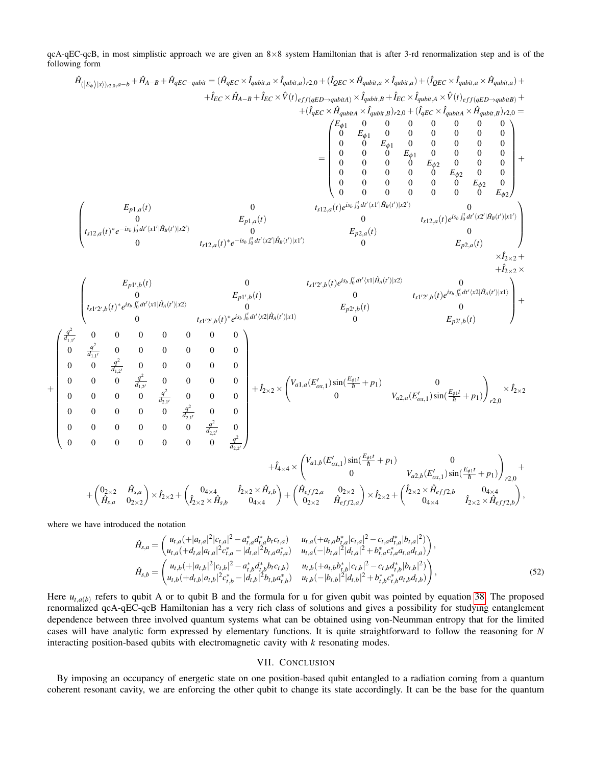qcA-qEC-qcB, in most simplistic approach we are given an 8×8 system Hamiltonian that is after 3-rd renormalization step and is of the following form

$$
\begin{array}{c} \hat{H}_{(|E_{\phi}\rangle||\psi\rangle_{A,0},a-b}+\hat{H}_{A-B}+\hat{H}_{qEC-qubit}=\hat{(H}_{qEC}\times\hat{I}_{qubit,a}\times\hat{I}_{qubit,a}\times\hat{I}_{qubit,a}\times\hat{I}_{qubit,a}\times\hat{I}_{qubit,a}+\hat{I}_{GCC}\times\hat{H}_{qubit,a}\times\hat{I}_{qubit,a}\times\hat{I}_{qubit,a}\times\hat{I}_{qubit,a}\times\hat{I}_{qubit,a}\times\hat{I}_{qubit,a}\times\hat{I}_{qubit,a}\times\hat{I}_{qubit,a}\times\hat{I}_{qubit,a}\times\hat{I}_{qubit,a}\times\hat{I}_{qubit,a}\times\hat{I}_{qubit,a}\times\hat{I}_{qubit,a}\times\hat{I}_{qubit,a}\times\hat{I}_{qubit,a}\times\hat{I}_{qubit,a}\times\hat{I}_{qubit,a}\times\hat{I}_{qubit,a}\times\hat{I}_{qubit,a}\times\hat{I}_{qubit,a}\times\hat{I}_{qubit,a}\times\hat{I}_{qubit,a}\times\hat{I}_{qubit,a}\times\hat{I}_{qubit,a}\times\hat{I}_{qubit,a}\times\hat{I}_{qubit,a}\times\hat{I}_{qubit,a}\times\hat{I}_{qubit,a}\times\hat{I}_{qubit,a}\times\hat{I}_{qubit,a}\times\hat{I}_{qubit,a}\times\hat{I}_{qubit,a}\times\hat{I}_{qubit,a}\times\hat{I}_{qubit,a}\times\hat{I}_{qubit,a}\times\hat{I}_{qubit,a}\times\hat{I}_{qubit,a}\times\hat{I}_{qubit,a}\times\hat{I}_{qubit,a}\times\hat{I}_{qubit,a}\times\hat{I}_{qubit,a}\times\hat{I}_{qubit,a}\times\hat{I}_{qbit,a}\times\hat{I}_{qbit,a}\times\hat{I}_{qbit,a}\times\hat{I}_{qbit,a}\times\hat{I}_{qbit,a}\times\hat{I}_{qbit,a}\times\hat{I}_{qbit,a}\times\hat{I}_{qbit,a}\times\hat{I}_{qbit,a}\times\hat{I}_{qbit,a}\times\hat{I}_{qbit,a}\times\hat{I}_{qbit,a}\times\hat{I}_{qbit,a}\times\hat{I}_{qbit,a}\times\hat{I}_{qbit,a}\times\hat{I}_{qbit,a}\times\hat{I}_{qbit,a}\times\hat{I}_{qbit,a}\times\hat{I}_{qbit,a}\times\hat{I}_{qbit,a}\times\hat{I}_{qbit,a}\times\hat{I}_{qbit,a}\times\hat{
$$

where we have introduced the notation

 $+$ 

$$
\hat{H}_{s,a} = \begin{pmatrix}\nu_{t,a} (+|a_{t,a}|^2 | c_{t,a}|^2 - a_{t,a}^* d_{t,a}^* b_t c_{t,a}) & u_{t,a} (+a_{t,a} b_{t,a}^* | c_{t,a}|^2 - c_{t,a} d_{t,a}^* | b_{t,a}|^2) \\
u_{t,a} (+d_{t,a} | a_{t,a}|^2 c_{t,a}^* - |d_{t,a}|^2 b_{t,a} a_{t,a}^*) & u_{t,a} (-|b_{t,a}|^2 | d_{t,a}|^2 + b_{t,a}^* c_{t,a}^* a_{t,a} d_{t,a})\n\end{pmatrix},
$$
\n
$$
\hat{H}_{s,b} = \begin{pmatrix}\nu_{t,b} (+|a_{t,b}|^2 | c_{t,b}|^2 - a_{t,b}^* d_{t,b}^* b_t c_{t,b}) & u_{t,b} (+a_{t,b} b_{t,b}^* | c_{t,b}|^2 - c_{t,b} d_{t,b}^* | b_{t,b}|^2) \\
u_{t,b} (+d_{t,b} | a_{t,b}|^2 c_{t,b}^* - | d_{t,b}|^2 b_{t,b} a_{t,b}^*) & u_{t,b} (-|b_{t,b}|^2 | d_{t,b}|^2 + b_{t,b}^* c_{t,b}^* a_{t,b} d_{t,b})\n\end{pmatrix},
$$
\n(52)

Here  $u_{t,a(b)}$  refers to qubit A or to qubit B and the formula for u for given qubit was pointed by equation [38.](#page-13-0) The proposed renormalized qcA-qEC-qcB Hamiltonian has a very rich class of solutions and gives a possibility for studying entanglement dependence between three involved quantum systems what can be obtained using von-Neumman entropy that for the limited cases will have analytic form expressed by elementary functions. It is quite straightforward to follow the reasoning for *N* interacting position-based qubits with electromagnetic cavity with *k* resonating modes.

# VII. CONCLUSION

By imposing an occupancy of energetic state on one position-based qubit entangled to a radiation coming from a quantum coherent resonant cavity, we are enforcing the other qubit to change its state accordingly. It can be the base for the quantum